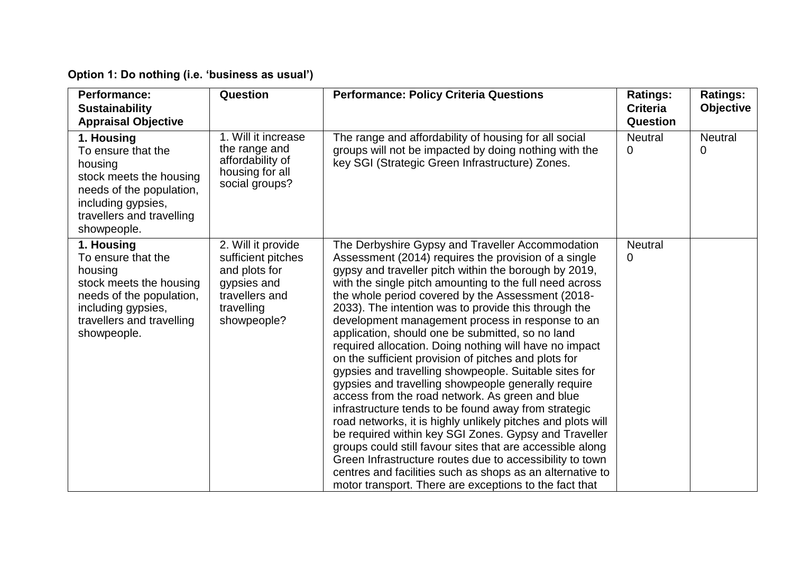## **Option 1: Do nothing (i.e. 'business as usual')**

| <b>Performance:</b><br><b>Sustainability</b><br><b>Appraisal Objective</b>                                                                                           | Question                                                                                                                | <b>Performance: Policy Criteria Questions</b>                                                                                                                                                                                                                                                                                                                                                                                                                                                                                                                                                                                                                                                                                                                                                                                                                                                                                                                                                                                                                                                                                                                          | <b>Ratings:</b><br><b>Criteria</b><br><b>Question</b> | <b>Ratings:</b><br><b>Objective</b> |
|----------------------------------------------------------------------------------------------------------------------------------------------------------------------|-------------------------------------------------------------------------------------------------------------------------|------------------------------------------------------------------------------------------------------------------------------------------------------------------------------------------------------------------------------------------------------------------------------------------------------------------------------------------------------------------------------------------------------------------------------------------------------------------------------------------------------------------------------------------------------------------------------------------------------------------------------------------------------------------------------------------------------------------------------------------------------------------------------------------------------------------------------------------------------------------------------------------------------------------------------------------------------------------------------------------------------------------------------------------------------------------------------------------------------------------------------------------------------------------------|-------------------------------------------------------|-------------------------------------|
| 1. Housing<br>To ensure that the<br>housing<br>stock meets the housing<br>needs of the population,<br>including gypsies,<br>travellers and travelling<br>showpeople. | 1. Will it increase<br>the range and<br>affordability of<br>housing for all<br>social groups?                           | The range and affordability of housing for all social<br>groups will not be impacted by doing nothing with the<br>key SGI (Strategic Green Infrastructure) Zones.                                                                                                                                                                                                                                                                                                                                                                                                                                                                                                                                                                                                                                                                                                                                                                                                                                                                                                                                                                                                      | <b>Neutral</b><br>0                                   | <b>Neutral</b><br>0                 |
| 1. Housing<br>To ensure that the<br>housing<br>stock meets the housing<br>needs of the population,<br>including gypsies,<br>travellers and travelling<br>showpeople. | 2. Will it provide<br>sufficient pitches<br>and plots for<br>gypsies and<br>travellers and<br>travelling<br>showpeople? | The Derbyshire Gypsy and Traveller Accommodation<br>Assessment (2014) requires the provision of a single<br>gypsy and traveller pitch within the borough by 2019,<br>with the single pitch amounting to the full need across<br>the whole period covered by the Assessment (2018-<br>2033). The intention was to provide this through the<br>development management process in response to an<br>application, should one be submitted, so no land<br>required allocation. Doing nothing will have no impact<br>on the sufficient provision of pitches and plots for<br>gypsies and travelling showpeople. Suitable sites for<br>gypsies and travelling showpeople generally require<br>access from the road network. As green and blue<br>infrastructure tends to be found away from strategic<br>road networks, it is highly unlikely pitches and plots will<br>be required within key SGI Zones. Gypsy and Traveller<br>groups could still favour sites that are accessible along<br>Green Infrastructure routes due to accessibility to town<br>centres and facilities such as shops as an alternative to<br>motor transport. There are exceptions to the fact that | <b>Neutral</b><br>$\mathbf{0}$                        |                                     |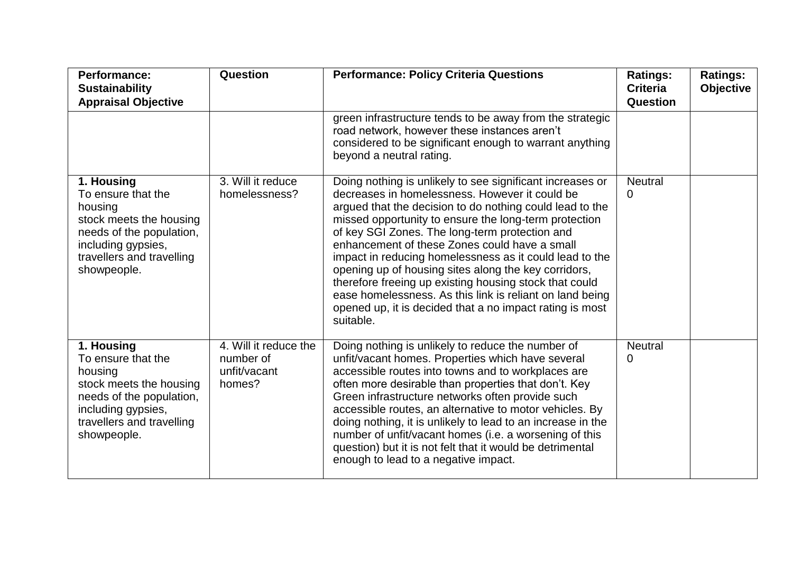| Performance:<br><b>Sustainability</b><br><b>Appraisal Objective</b>                                                                                                  | Question                                                     | <b>Performance: Policy Criteria Questions</b>                                                                                                                                                                                                                                                                                                                                                                                                                                                                                                                                                                                                         | <b>Ratings:</b><br><b>Criteria</b><br>Question | <b>Ratings:</b><br><b>Objective</b> |
|----------------------------------------------------------------------------------------------------------------------------------------------------------------------|--------------------------------------------------------------|-------------------------------------------------------------------------------------------------------------------------------------------------------------------------------------------------------------------------------------------------------------------------------------------------------------------------------------------------------------------------------------------------------------------------------------------------------------------------------------------------------------------------------------------------------------------------------------------------------------------------------------------------------|------------------------------------------------|-------------------------------------|
|                                                                                                                                                                      |                                                              | green infrastructure tends to be away from the strategic<br>road network, however these instances aren't<br>considered to be significant enough to warrant anything<br>beyond a neutral rating.                                                                                                                                                                                                                                                                                                                                                                                                                                                       |                                                |                                     |
| 1. Housing<br>To ensure that the<br>housing<br>stock meets the housing<br>needs of the population,<br>including gypsies,<br>travellers and travelling<br>showpeople. | 3. Will it reduce<br>homelessness?                           | Doing nothing is unlikely to see significant increases or<br>decreases in homelessness. However it could be<br>argued that the decision to do nothing could lead to the<br>missed opportunity to ensure the long-term protection<br>of key SGI Zones. The long-term protection and<br>enhancement of these Zones could have a small<br>impact in reducing homelessness as it could lead to the<br>opening up of housing sites along the key corridors,<br>therefore freeing up existing housing stock that could<br>ease homelessness. As this link is reliant on land being<br>opened up, it is decided that a no impact rating is most<br>suitable. | <b>Neutral</b><br>0                            |                                     |
| 1. Housing<br>To ensure that the<br>housing<br>stock meets the housing<br>needs of the population,<br>including gypsies,<br>travellers and travelling<br>showpeople. | 4. Will it reduce the<br>number of<br>unfit/vacant<br>homes? | Doing nothing is unlikely to reduce the number of<br>unfit/vacant homes. Properties which have several<br>accessible routes into towns and to workplaces are<br>often more desirable than properties that don't. Key<br>Green infrastructure networks often provide such<br>accessible routes, an alternative to motor vehicles. By<br>doing nothing, it is unlikely to lead to an increase in the<br>number of unfit/vacant homes (i.e. a worsening of this<br>question) but it is not felt that it would be detrimental<br>enough to lead to a negative impact.                                                                                     | <b>Neutral</b><br>0                            |                                     |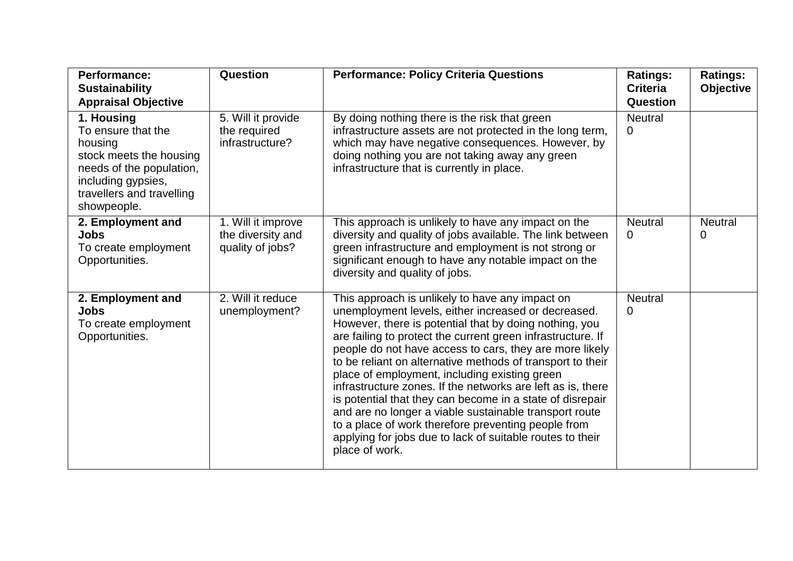| <b>Performance:</b><br><b>Sustainability</b><br><b>Appraisal Objective</b>                                                                                           | <b>Question</b>                                             | <b>Performance: Policy Criteria Questions</b>                                                                                                                                                                                                                                                                                                                                                                                                                                                                                                                                                                                                                                                                                         | <b>Ratings:</b><br><b>Criteria</b><br>Question | <b>Ratings:</b><br><b>Objective</b> |
|----------------------------------------------------------------------------------------------------------------------------------------------------------------------|-------------------------------------------------------------|---------------------------------------------------------------------------------------------------------------------------------------------------------------------------------------------------------------------------------------------------------------------------------------------------------------------------------------------------------------------------------------------------------------------------------------------------------------------------------------------------------------------------------------------------------------------------------------------------------------------------------------------------------------------------------------------------------------------------------------|------------------------------------------------|-------------------------------------|
| 1. Housing<br>To ensure that the<br>housing<br>stock meets the housing<br>needs of the population,<br>including gypsies,<br>travellers and travelling<br>showpeople. | 5. Will it provide<br>the required<br>infrastructure?       | By doing nothing there is the risk that green<br>infrastructure assets are not protected in the long term,<br>which may have negative consequences. However, by<br>doing nothing you are not taking away any green<br>infrastructure that is currently in place.                                                                                                                                                                                                                                                                                                                                                                                                                                                                      | <b>Neutral</b><br>$\overline{0}$               |                                     |
| 2. Employment and<br><b>Jobs</b><br>To create employment<br>Opportunities.                                                                                           | 1. Will it improve<br>the diversity and<br>quality of jobs? | This approach is unlikely to have any impact on the<br>diversity and quality of jobs available. The link between<br>green infrastructure and employment is not strong or<br>significant enough to have any notable impact on the<br>diversity and quality of jobs.                                                                                                                                                                                                                                                                                                                                                                                                                                                                    | <b>Neutral</b><br>$\Omega$                     | <b>Neutral</b><br>0                 |
| 2. Employment and<br><b>Jobs</b><br>To create employment<br>Opportunities.                                                                                           | 2. Will it reduce<br>unemployment?                          | This approach is unlikely to have any impact on<br>unemployment levels, either increased or decreased.<br>However, there is potential that by doing nothing, you<br>are failing to protect the current green infrastructure. If<br>people do not have access to cars, they are more likely<br>to be reliant on alternative methods of transport to their<br>place of employment, including existing green<br>infrastructure zones. If the networks are left as is, there<br>is potential that they can become in a state of disrepair<br>and are no longer a viable sustainable transport route<br>to a place of work therefore preventing people from<br>applying for jobs due to lack of suitable routes to their<br>place of work. | <b>Neutral</b><br>$\Omega$                     |                                     |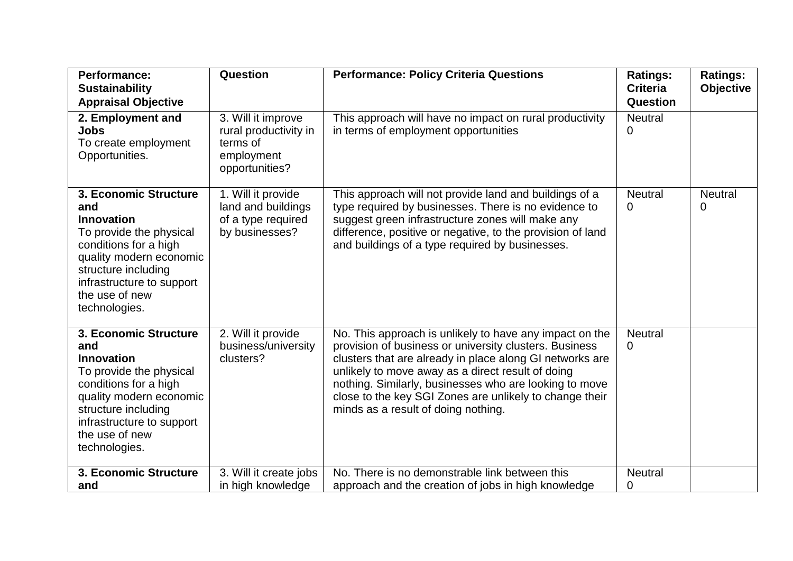| <b>Performance:</b><br><b>Sustainability</b><br><b>Appraisal Objective</b>                                                                                                                                              | Question                                                                                | <b>Performance: Policy Criteria Questions</b>                                                                                                                                                                                                                                                                                                                                                  | <b>Ratings:</b><br><b>Criteria</b><br>Question | <b>Ratings:</b><br><b>Objective</b> |
|-------------------------------------------------------------------------------------------------------------------------------------------------------------------------------------------------------------------------|-----------------------------------------------------------------------------------------|------------------------------------------------------------------------------------------------------------------------------------------------------------------------------------------------------------------------------------------------------------------------------------------------------------------------------------------------------------------------------------------------|------------------------------------------------|-------------------------------------|
| 2. Employment and<br>Jobs<br>To create employment<br>Opportunities.                                                                                                                                                     | 3. Will it improve<br>rural productivity in<br>terms of<br>employment<br>opportunities? | This approach will have no impact on rural productivity<br>in terms of employment opportunities                                                                                                                                                                                                                                                                                                | <b>Neutral</b><br>0                            |                                     |
| 3. Economic Structure<br>and<br>Innovation<br>To provide the physical<br>conditions for a high<br>quality modern economic<br>structure including<br>infrastructure to support<br>the use of new<br>technologies.        | 1. Will it provide<br>land and buildings<br>of a type required<br>by businesses?        | This approach will not provide land and buildings of a<br>type required by businesses. There is no evidence to<br>suggest green infrastructure zones will make any<br>difference, positive or negative, to the provision of land<br>and buildings of a type required by businesses.                                                                                                            | <b>Neutral</b><br>0                            | <b>Neutral</b><br>0                 |
| 3. Economic Structure<br>and<br><b>Innovation</b><br>To provide the physical<br>conditions for a high<br>quality modern economic<br>structure including<br>infrastructure to support<br>the use of new<br>technologies. | 2. Will it provide<br>business/university<br>clusters?                                  | No. This approach is unlikely to have any impact on the<br>provision of business or university clusters. Business<br>clusters that are already in place along GI networks are<br>unlikely to move away as a direct result of doing<br>nothing. Similarly, businesses who are looking to move<br>close to the key SGI Zones are unlikely to change their<br>minds as a result of doing nothing. | <b>Neutral</b><br>0                            |                                     |
| 3. Economic Structure<br>and                                                                                                                                                                                            | 3. Will it create jobs<br>in high knowledge                                             | No. There is no demonstrable link between this<br>approach and the creation of jobs in high knowledge                                                                                                                                                                                                                                                                                          | <b>Neutral</b><br>0                            |                                     |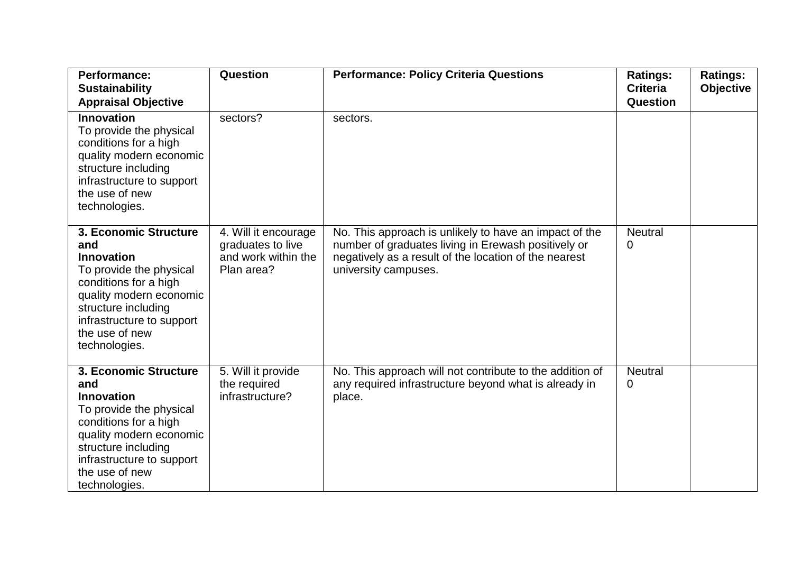| <b>Performance:</b><br><b>Sustainability</b>                                                                                                                                                                            | Question                                                                       | <b>Performance: Policy Criteria Questions</b>                                                                                                                                                  | <b>Ratings:</b><br><b>Criteria</b> | <b>Ratings:</b><br><b>Objective</b> |
|-------------------------------------------------------------------------------------------------------------------------------------------------------------------------------------------------------------------------|--------------------------------------------------------------------------------|------------------------------------------------------------------------------------------------------------------------------------------------------------------------------------------------|------------------------------------|-------------------------------------|
| <b>Appraisal Objective</b>                                                                                                                                                                                              |                                                                                |                                                                                                                                                                                                | Question                           |                                     |
| <b>Innovation</b><br>To provide the physical<br>conditions for a high<br>quality modern economic<br>structure including<br>infrastructure to support<br>the use of new<br>technologies.                                 | sectors?                                                                       | sectors.                                                                                                                                                                                       |                                    |                                     |
| 3. Economic Structure<br>and<br><b>Innovation</b><br>To provide the physical<br>conditions for a high<br>quality modern economic<br>structure including<br>infrastructure to support<br>the use of new<br>technologies. | 4. Will it encourage<br>graduates to live<br>and work within the<br>Plan area? | No. This approach is unlikely to have an impact of the<br>number of graduates living in Erewash positively or<br>negatively as a result of the location of the nearest<br>university campuses. | <b>Neutral</b><br>0                |                                     |
| 3. Economic Structure<br>and<br><b>Innovation</b><br>To provide the physical<br>conditions for a high<br>quality modern economic<br>structure including<br>infrastructure to support<br>the use of new<br>technologies. | 5. Will it provide<br>the required<br>infrastructure?                          | No. This approach will not contribute to the addition of<br>any required infrastructure beyond what is already in<br>place.                                                                    | <b>Neutral</b><br>0                |                                     |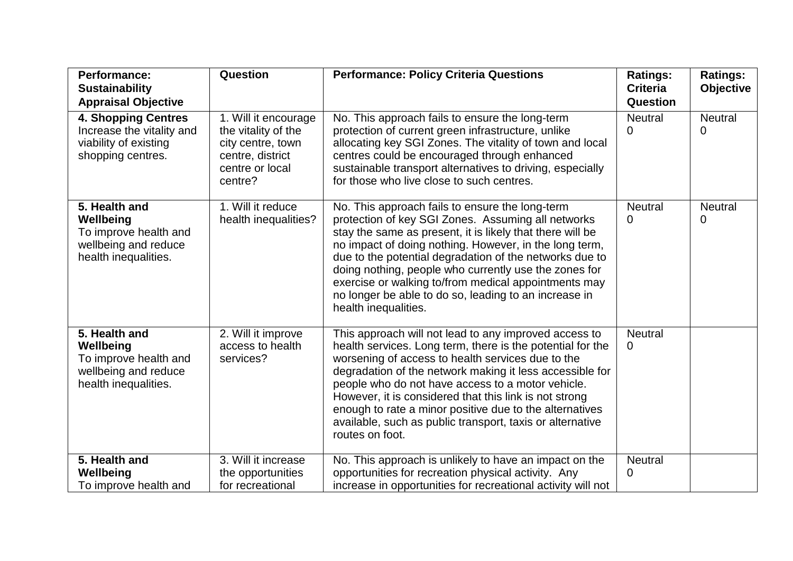| <b>Performance:</b><br><b>Sustainability</b>                                                          | Question                                                                                                           | <b>Performance: Policy Criteria Questions</b>                                                                                                                                                                                                                                                                                                                                                                                                                                                  | <b>Ratings:</b><br><b>Criteria</b> | <b>Ratings:</b><br><b>Objective</b> |
|-------------------------------------------------------------------------------------------------------|--------------------------------------------------------------------------------------------------------------------|------------------------------------------------------------------------------------------------------------------------------------------------------------------------------------------------------------------------------------------------------------------------------------------------------------------------------------------------------------------------------------------------------------------------------------------------------------------------------------------------|------------------------------------|-------------------------------------|
| <b>Appraisal Objective</b>                                                                            |                                                                                                                    |                                                                                                                                                                                                                                                                                                                                                                                                                                                                                                | Question                           |                                     |
| <b>4. Shopping Centres</b><br>Increase the vitality and<br>viability of existing<br>shopping centres. | 1. Will it encourage<br>the vitality of the<br>city centre, town<br>centre, district<br>centre or local<br>centre? | No. This approach fails to ensure the long-term<br>protection of current green infrastructure, unlike<br>allocating key SGI Zones. The vitality of town and local<br>centres could be encouraged through enhanced<br>sustainable transport alternatives to driving, especially<br>for those who live close to such centres.                                                                                                                                                                    | <b>Neutral</b><br>0                | <b>Neutral</b><br>0                 |
| 5. Health and<br>Wellbeing<br>To improve health and<br>wellbeing and reduce<br>health inequalities.   | 1. Will it reduce<br>health inequalities?                                                                          | No. This approach fails to ensure the long-term<br>protection of key SGI Zones. Assuming all networks<br>stay the same as present, it is likely that there will be<br>no impact of doing nothing. However, in the long term,<br>due to the potential degradation of the networks due to<br>doing nothing, people who currently use the zones for<br>exercise or walking to/from medical appointments may<br>no longer be able to do so, leading to an increase in<br>health inequalities.      | <b>Neutral</b><br>0                | <b>Neutral</b><br>0                 |
| 5. Health and<br>Wellbeing<br>To improve health and<br>wellbeing and reduce<br>health inequalities.   | 2. Will it improve<br>access to health<br>services?                                                                | This approach will not lead to any improved access to<br>health services. Long term, there is the potential for the<br>worsening of access to health services due to the<br>degradation of the network making it less accessible for<br>people who do not have access to a motor vehicle.<br>However, it is considered that this link is not strong<br>enough to rate a minor positive due to the alternatives<br>available, such as public transport, taxis or alternative<br>routes on foot. | <b>Neutral</b><br>0                |                                     |
| 5. Health and<br>Wellbeing<br>To improve health and                                                   | 3. Will it increase<br>the opportunities<br>for recreational                                                       | No. This approach is unlikely to have an impact on the<br>opportunities for recreation physical activity. Any<br>increase in opportunities for recreational activity will not                                                                                                                                                                                                                                                                                                                  | <b>Neutral</b><br>0                |                                     |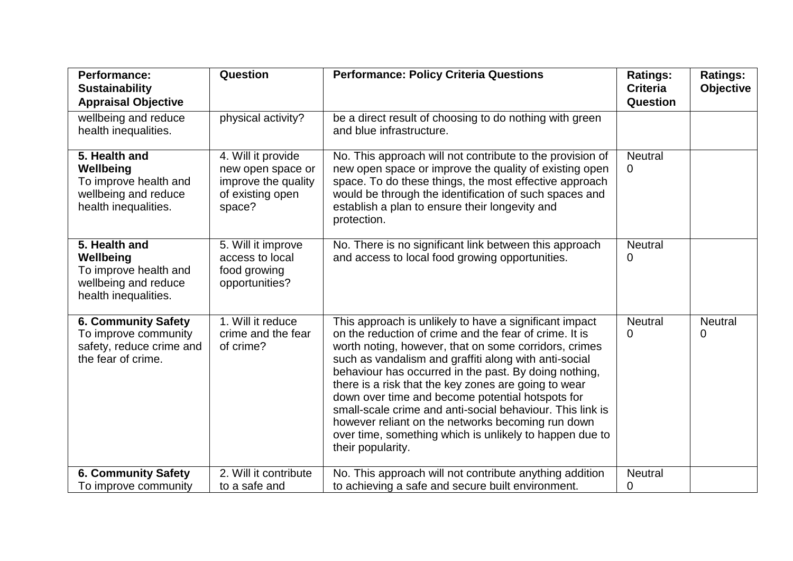| <b>Performance:</b><br><b>Sustainability</b><br><b>Appraisal Objective</b>                           | Question                                                                                     | <b>Performance: Policy Criteria Questions</b>                                                                                                                                                                                                                                                                                                                                                                                                                                                                                                                                                             | <b>Ratings:</b><br><b>Criteria</b><br>Question | <b>Ratings:</b><br><b>Objective</b> |
|------------------------------------------------------------------------------------------------------|----------------------------------------------------------------------------------------------|-----------------------------------------------------------------------------------------------------------------------------------------------------------------------------------------------------------------------------------------------------------------------------------------------------------------------------------------------------------------------------------------------------------------------------------------------------------------------------------------------------------------------------------------------------------------------------------------------------------|------------------------------------------------|-------------------------------------|
| wellbeing and reduce<br>health inequalities.                                                         | physical activity?                                                                           | be a direct result of choosing to do nothing with green<br>and blue infrastructure.                                                                                                                                                                                                                                                                                                                                                                                                                                                                                                                       |                                                |                                     |
| 5. Health and<br>Wellbeing<br>To improve health and<br>wellbeing and reduce<br>health inequalities.  | 4. Will it provide<br>new open space or<br>improve the quality<br>of existing open<br>space? | No. This approach will not contribute to the provision of<br>new open space or improve the quality of existing open<br>space. To do these things, the most effective approach<br>would be through the identification of such spaces and<br>establish a plan to ensure their longevity and<br>protection.                                                                                                                                                                                                                                                                                                  | <b>Neutral</b><br>0                            |                                     |
| 5. Health and<br>Wellbeing<br>To improve health and<br>wellbeing and reduce<br>health inequalities.  | 5. Will it improve<br>access to local<br>food growing<br>opportunities?                      | No. There is no significant link between this approach<br>and access to local food growing opportunities.                                                                                                                                                                                                                                                                                                                                                                                                                                                                                                 | <b>Neutral</b><br>0                            |                                     |
| <b>6. Community Safety</b><br>To improve community<br>safety, reduce crime and<br>the fear of crime. | 1. Will it reduce<br>crime and the fear<br>of crime?                                         | This approach is unlikely to have a significant impact<br>on the reduction of crime and the fear of crime. It is<br>worth noting, however, that on some corridors, crimes<br>such as vandalism and graffiti along with anti-social<br>behaviour has occurred in the past. By doing nothing,<br>there is a risk that the key zones are going to wear<br>down over time and become potential hotspots for<br>small-scale crime and anti-social behaviour. This link is<br>however reliant on the networks becoming run down<br>over time, something which is unlikely to happen due to<br>their popularity. | <b>Neutral</b><br>0                            | <b>Neutral</b><br>$\Omega$          |
| <b>6. Community Safety</b><br>To improve community                                                   | 2. Will it contribute<br>to a safe and                                                       | No. This approach will not contribute anything addition<br>to achieving a safe and secure built environment.                                                                                                                                                                                                                                                                                                                                                                                                                                                                                              | <b>Neutral</b><br>0                            |                                     |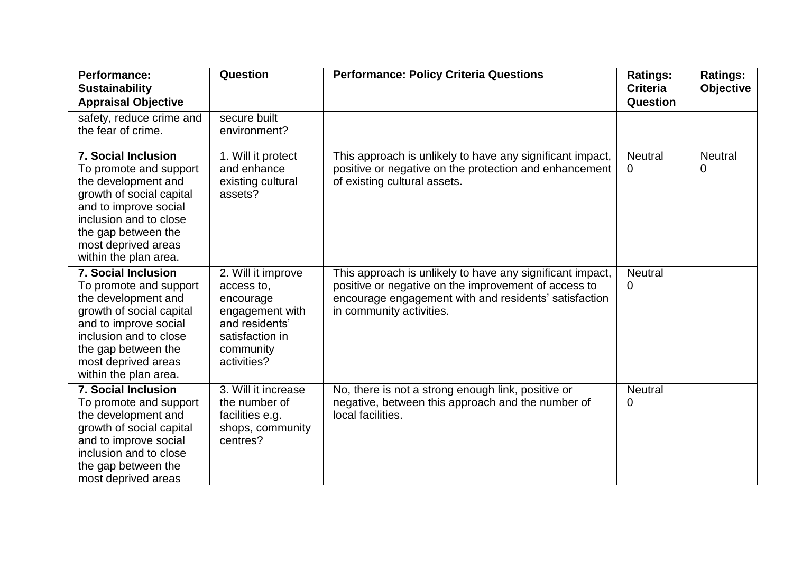| <b>Performance:</b><br><b>Sustainability</b><br><b>Appraisal Objective</b>                                                                                                                                                        | Question                                                                                                                          | <b>Performance: Policy Criteria Questions</b>                                                                                                                                                          | <b>Ratings:</b><br><b>Criteria</b><br>Question | <b>Ratings:</b><br><b>Objective</b> |
|-----------------------------------------------------------------------------------------------------------------------------------------------------------------------------------------------------------------------------------|-----------------------------------------------------------------------------------------------------------------------------------|--------------------------------------------------------------------------------------------------------------------------------------------------------------------------------------------------------|------------------------------------------------|-------------------------------------|
| safety, reduce crime and<br>the fear of crime.                                                                                                                                                                                    | secure built<br>environment?                                                                                                      |                                                                                                                                                                                                        |                                                |                                     |
| <b>7. Social Inclusion</b><br>To promote and support<br>the development and<br>growth of social capital<br>and to improve social<br>inclusion and to close<br>the gap between the<br>most deprived areas<br>within the plan area. | 1. Will it protect<br>and enhance<br>existing cultural<br>assets?                                                                 | This approach is unlikely to have any significant impact,<br>positive or negative on the protection and enhancement<br>of existing cultural assets.                                                    | <b>Neutral</b><br>0                            | <b>Neutral</b><br>0                 |
| <b>7. Social Inclusion</b><br>To promote and support<br>the development and<br>growth of social capital<br>and to improve social<br>inclusion and to close<br>the gap between the<br>most deprived areas<br>within the plan area. | 2. Will it improve<br>access to,<br>encourage<br>engagement with<br>and residents'<br>satisfaction in<br>community<br>activities? | This approach is unlikely to have any significant impact,<br>positive or negative on the improvement of access to<br>encourage engagement with and residents' satisfaction<br>in community activities. | <b>Neutral</b><br>0                            |                                     |
| <b>7. Social Inclusion</b><br>To promote and support<br>the development and<br>growth of social capital<br>and to improve social<br>inclusion and to close<br>the gap between the<br>most deprived areas                          | 3. Will it increase<br>the number of<br>facilities e.g.<br>shops, community<br>centres?                                           | No, there is not a strong enough link, positive or<br>negative, between this approach and the number of<br>local facilities.                                                                           | <b>Neutral</b><br>0                            |                                     |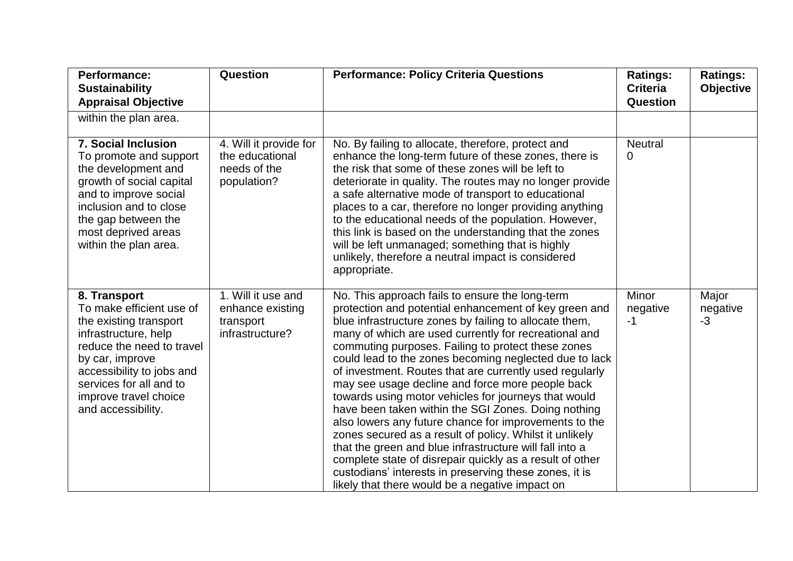| <b>Performance:</b><br><b>Sustainability</b><br><b>Appraisal Objective</b>                                                                                                                                                                        | Question                                                                 | <b>Performance: Policy Criteria Questions</b>                                                                                                                                                                                                                                                                                                                                                                                                                                                                                                                                                                                                                                                                                                                                                                                                                                                                                     | <b>Ratings:</b><br><b>Criteria</b><br>Question | <b>Ratings:</b><br><b>Objective</b> |
|---------------------------------------------------------------------------------------------------------------------------------------------------------------------------------------------------------------------------------------------------|--------------------------------------------------------------------------|-----------------------------------------------------------------------------------------------------------------------------------------------------------------------------------------------------------------------------------------------------------------------------------------------------------------------------------------------------------------------------------------------------------------------------------------------------------------------------------------------------------------------------------------------------------------------------------------------------------------------------------------------------------------------------------------------------------------------------------------------------------------------------------------------------------------------------------------------------------------------------------------------------------------------------------|------------------------------------------------|-------------------------------------|
| within the plan area.                                                                                                                                                                                                                             |                                                                          |                                                                                                                                                                                                                                                                                                                                                                                                                                                                                                                                                                                                                                                                                                                                                                                                                                                                                                                                   |                                                |                                     |
| <b>7. Social Inclusion</b><br>To promote and support<br>the development and<br>growth of social capital<br>and to improve social<br>inclusion and to close<br>the gap between the<br>most deprived areas<br>within the plan area.                 | 4. Will it provide for<br>the educational<br>needs of the<br>population? | No. By failing to allocate, therefore, protect and<br>enhance the long-term future of these zones, there is<br>the risk that some of these zones will be left to<br>deteriorate in quality. The routes may no longer provide<br>a safe alternative mode of transport to educational<br>places to a car, therefore no longer providing anything<br>to the educational needs of the population. However,<br>this link is based on the understanding that the zones<br>will be left unmanaged; something that is highly<br>unlikely, therefore a neutral impact is considered<br>appropriate.                                                                                                                                                                                                                                                                                                                                        | <b>Neutral</b><br>0                            |                                     |
| 8. Transport<br>To make efficient use of<br>the existing transport<br>infrastructure, help<br>reduce the need to travel<br>by car, improve<br>accessibility to jobs and<br>services for all and to<br>improve travel choice<br>and accessibility. | 1. Will it use and<br>enhance existing<br>transport<br>infrastructure?   | No. This approach fails to ensure the long-term<br>protection and potential enhancement of key green and<br>blue infrastructure zones by failing to allocate them,<br>many of which are used currently for recreational and<br>commuting purposes. Failing to protect these zones<br>could lead to the zones becoming neglected due to lack<br>of investment. Routes that are currently used regularly<br>may see usage decline and force more people back<br>towards using motor vehicles for journeys that would<br>have been taken within the SGI Zones. Doing nothing<br>also lowers any future chance for improvements to the<br>zones secured as a result of policy. Whilst it unlikely<br>that the green and blue infrastructure will fall into a<br>complete state of disrepair quickly as a result of other<br>custodians' interests in preserving these zones, it is<br>likely that there would be a negative impact on | Minor<br>negative<br>$-1$                      | Major<br>negative<br>$-3$           |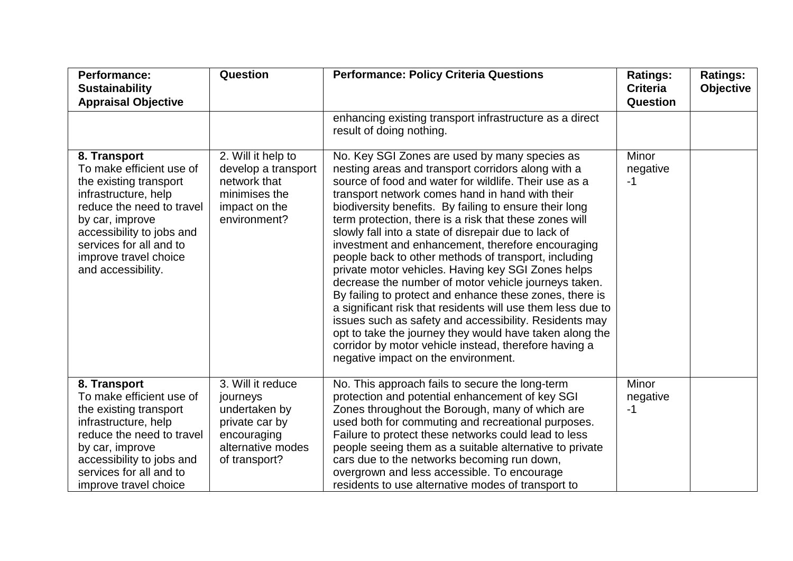| Performance:<br><b>Sustainability</b><br><b>Appraisal Objective</b>                                                                                                                                                                               | Question                                                                                                              | <b>Performance: Policy Criteria Questions</b>                                                                                                                                                                                                                                                                                                                                                                                                                                                                                                                                                                                                                                                                                                                                                                                                                                                                                                                         | <b>Ratings:</b><br><b>Criteria</b><br>Question | <b>Ratings:</b><br><b>Objective</b> |
|---------------------------------------------------------------------------------------------------------------------------------------------------------------------------------------------------------------------------------------------------|-----------------------------------------------------------------------------------------------------------------------|-----------------------------------------------------------------------------------------------------------------------------------------------------------------------------------------------------------------------------------------------------------------------------------------------------------------------------------------------------------------------------------------------------------------------------------------------------------------------------------------------------------------------------------------------------------------------------------------------------------------------------------------------------------------------------------------------------------------------------------------------------------------------------------------------------------------------------------------------------------------------------------------------------------------------------------------------------------------------|------------------------------------------------|-------------------------------------|
|                                                                                                                                                                                                                                                   |                                                                                                                       | enhancing existing transport infrastructure as a direct<br>result of doing nothing.                                                                                                                                                                                                                                                                                                                                                                                                                                                                                                                                                                                                                                                                                                                                                                                                                                                                                   |                                                |                                     |
| 8. Transport<br>To make efficient use of<br>the existing transport<br>infrastructure, help<br>reduce the need to travel<br>by car, improve<br>accessibility to jobs and<br>services for all and to<br>improve travel choice<br>and accessibility. | 2. Will it help to<br>develop a transport<br>network that<br>minimises the<br>impact on the<br>environment?           | No. Key SGI Zones are used by many species as<br>nesting areas and transport corridors along with a<br>source of food and water for wildlife. Their use as a<br>transport network comes hand in hand with their<br>biodiversity benefits. By failing to ensure their long<br>term protection, there is a risk that these zones will<br>slowly fall into a state of disrepair due to lack of<br>investment and enhancement, therefore encouraging<br>people back to other methods of transport, including<br>private motor vehicles. Having key SGI Zones helps<br>decrease the number of motor vehicle journeys taken.<br>By failing to protect and enhance these zones, there is<br>a significant risk that residents will use them less due to<br>issues such as safety and accessibility. Residents may<br>opt to take the journey they would have taken along the<br>corridor by motor vehicle instead, therefore having a<br>negative impact on the environment. | <b>Minor</b><br>negative<br>$-1$               |                                     |
| 8. Transport<br>To make efficient use of<br>the existing transport<br>infrastructure, help<br>reduce the need to travel<br>by car, improve<br>accessibility to jobs and<br>services for all and to<br>improve travel choice                       | 3. Will it reduce<br>journeys<br>undertaken by<br>private car by<br>encouraging<br>alternative modes<br>of transport? | No. This approach fails to secure the long-term<br>protection and potential enhancement of key SGI<br>Zones throughout the Borough, many of which are<br>used both for commuting and recreational purposes.<br>Failure to protect these networks could lead to less<br>people seeing them as a suitable alternative to private<br>cars due to the networks becoming run down,<br>overgrown and less accessible. To encourage<br>residents to use alternative modes of transport to                                                                                                                                                                                                                                                                                                                                                                                                                                                                                    | Minor<br>negative<br>$-1$                      |                                     |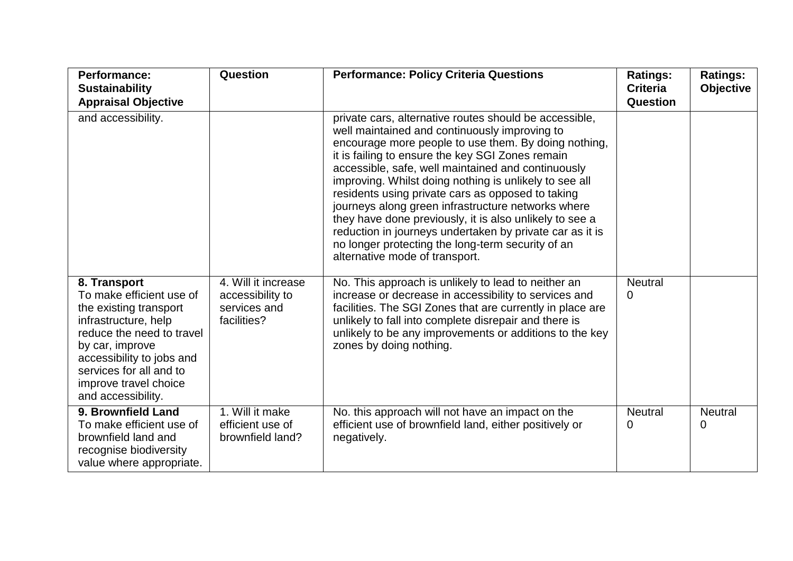| <b>Performance:</b><br><b>Sustainability</b><br><b>Appraisal Objective</b>                                                                                                                                                                        | Question                                                               | <b>Performance: Policy Criteria Questions</b>                                                                                                                                                                                                                                                                                                                                                                                                                                                                                                                                                                                                                | <b>Ratings:</b><br><b>Criteria</b><br><b>Question</b> | <b>Ratings:</b><br><b>Objective</b> |
|---------------------------------------------------------------------------------------------------------------------------------------------------------------------------------------------------------------------------------------------------|------------------------------------------------------------------------|--------------------------------------------------------------------------------------------------------------------------------------------------------------------------------------------------------------------------------------------------------------------------------------------------------------------------------------------------------------------------------------------------------------------------------------------------------------------------------------------------------------------------------------------------------------------------------------------------------------------------------------------------------------|-------------------------------------------------------|-------------------------------------|
| and accessibility.                                                                                                                                                                                                                                |                                                                        | private cars, alternative routes should be accessible,<br>well maintained and continuously improving to<br>encourage more people to use them. By doing nothing,<br>it is failing to ensure the key SGI Zones remain<br>accessible, safe, well maintained and continuously<br>improving. Whilst doing nothing is unlikely to see all<br>residents using private cars as opposed to taking<br>journeys along green infrastructure networks where<br>they have done previously, it is also unlikely to see a<br>reduction in journeys undertaken by private car as it is<br>no longer protecting the long-term security of an<br>alternative mode of transport. |                                                       |                                     |
| 8. Transport<br>To make efficient use of<br>the existing transport<br>infrastructure, help<br>reduce the need to travel<br>by car, improve<br>accessibility to jobs and<br>services for all and to<br>improve travel choice<br>and accessibility. | 4. Will it increase<br>accessibility to<br>services and<br>facilities? | No. This approach is unlikely to lead to neither an<br>increase or decrease in accessibility to services and<br>facilities. The SGI Zones that are currently in place are<br>unlikely to fall into complete disrepair and there is<br>unlikely to be any improvements or additions to the key<br>zones by doing nothing.                                                                                                                                                                                                                                                                                                                                     | <b>Neutral</b><br>0                                   |                                     |
| 9. Brownfield Land<br>To make efficient use of<br>brownfield land and<br>recognise biodiversity<br>value where appropriate.                                                                                                                       | 1. Will it make<br>efficient use of<br>brownfield land?                | No. this approach will not have an impact on the<br>efficient use of brownfield land, either positively or<br>negatively.                                                                                                                                                                                                                                                                                                                                                                                                                                                                                                                                    | <b>Neutral</b><br>0                                   | <b>Neutral</b><br>0                 |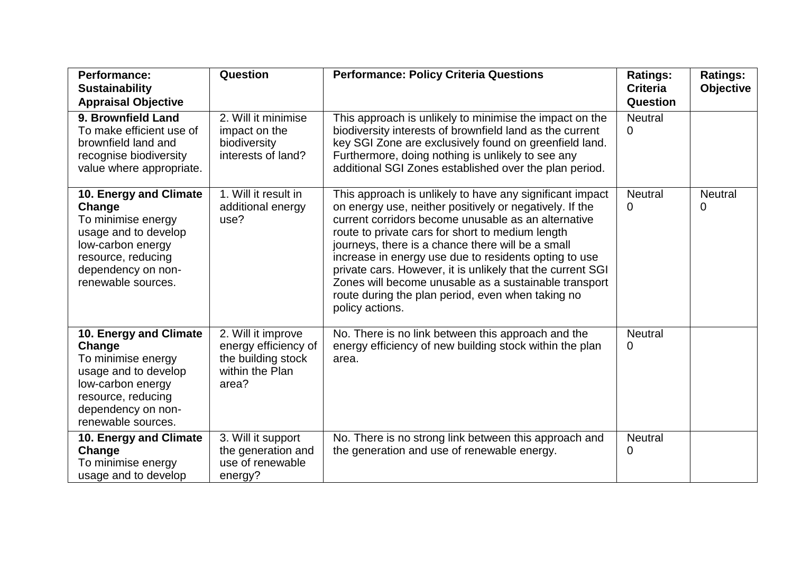| <b>Performance:</b><br><b>Sustainability</b>                                                                                                                          | Question                                                                                     | <b>Performance: Policy Criteria Questions</b>                                                                                                                                                                                                                                                                                                                                                                                                                                                                                               | <b>Ratings:</b><br><b>Criteria</b> | <b>Ratings:</b><br><b>Objective</b> |
|-----------------------------------------------------------------------------------------------------------------------------------------------------------------------|----------------------------------------------------------------------------------------------|---------------------------------------------------------------------------------------------------------------------------------------------------------------------------------------------------------------------------------------------------------------------------------------------------------------------------------------------------------------------------------------------------------------------------------------------------------------------------------------------------------------------------------------------|------------------------------------|-------------------------------------|
| <b>Appraisal Objective</b><br>9. Brownfield Land<br>To make efficient use of<br>brownfield land and<br>recognise biodiversity<br>value where appropriate.             | 2. Will it minimise<br>impact on the<br>biodiversity<br>interests of land?                   | This approach is unlikely to minimise the impact on the<br>biodiversity interests of brownfield land as the current<br>key SGI Zone are exclusively found on greenfield land.<br>Furthermore, doing nothing is unlikely to see any<br>additional SGI Zones established over the plan period.                                                                                                                                                                                                                                                | Question<br><b>Neutral</b><br>0    |                                     |
| 10. Energy and Climate<br>Change<br>To minimise energy<br>usage and to develop<br>low-carbon energy<br>resource, reducing<br>dependency on non-<br>renewable sources. | 1. Will it result in<br>additional energy<br>use?                                            | This approach is unlikely to have any significant impact<br>on energy use, neither positively or negatively. If the<br>current corridors become unusable as an alternative<br>route to private cars for short to medium length<br>journeys, there is a chance there will be a small<br>increase in energy use due to residents opting to use<br>private cars. However, it is unlikely that the current SGI<br>Zones will become unusable as a sustainable transport<br>route during the plan period, even when taking no<br>policy actions. | <b>Neutral</b><br>0                | <b>Neutral</b><br>0                 |
| 10. Energy and Climate<br>Change<br>To minimise energy<br>usage and to develop<br>low-carbon energy<br>resource, reducing<br>dependency on non-<br>renewable sources. | 2. Will it improve<br>energy efficiency of<br>the building stock<br>within the Plan<br>area? | No. There is no link between this approach and the<br>energy efficiency of new building stock within the plan<br>area.                                                                                                                                                                                                                                                                                                                                                                                                                      | <b>Neutral</b><br>0                |                                     |
| 10. Energy and Climate<br>Change<br>To minimise energy<br>usage and to develop                                                                                        | 3. Will it support<br>the generation and<br>use of renewable<br>energy?                      | No. There is no strong link between this approach and<br>the generation and use of renewable energy.                                                                                                                                                                                                                                                                                                                                                                                                                                        | <b>Neutral</b><br>0                |                                     |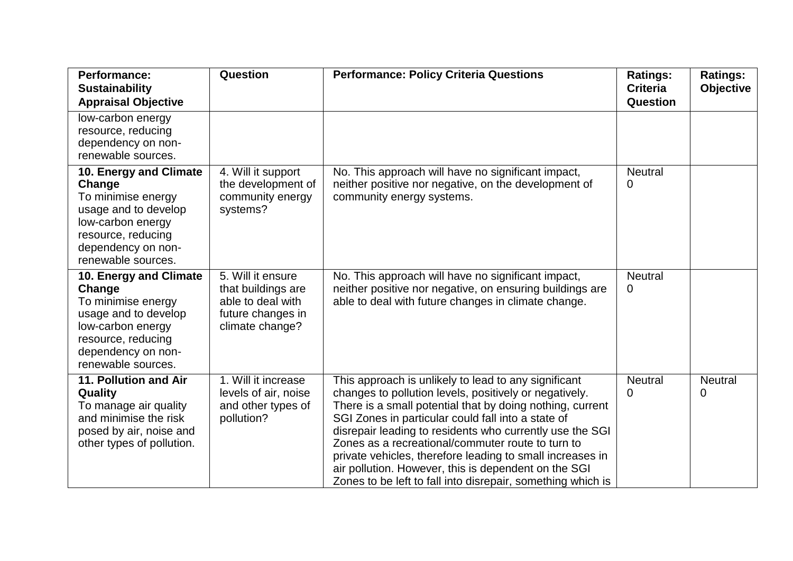| <b>Performance:</b><br><b>Sustainability</b><br><b>Appraisal Objective</b>                                                                                            | Question                                                                                             | <b>Performance: Policy Criteria Questions</b>                                                                                                                                                                                                                                                                                                                                                                                                                                                                                          | <b>Ratings:</b><br><b>Criteria</b><br>Question | <b>Ratings:</b><br><b>Objective</b> |
|-----------------------------------------------------------------------------------------------------------------------------------------------------------------------|------------------------------------------------------------------------------------------------------|----------------------------------------------------------------------------------------------------------------------------------------------------------------------------------------------------------------------------------------------------------------------------------------------------------------------------------------------------------------------------------------------------------------------------------------------------------------------------------------------------------------------------------------|------------------------------------------------|-------------------------------------|
| low-carbon energy<br>resource, reducing<br>dependency on non-<br>renewable sources.                                                                                   |                                                                                                      |                                                                                                                                                                                                                                                                                                                                                                                                                                                                                                                                        |                                                |                                     |
| 10. Energy and Climate<br>Change<br>To minimise energy<br>usage and to develop<br>low-carbon energy<br>resource, reducing<br>dependency on non-<br>renewable sources. | 4. Will it support<br>the development of<br>community energy<br>systems?                             | No. This approach will have no significant impact,<br>neither positive nor negative, on the development of<br>community energy systems.                                                                                                                                                                                                                                                                                                                                                                                                | <b>Neutral</b><br>0                            |                                     |
| 10. Energy and Climate<br>Change<br>To minimise energy<br>usage and to develop<br>low-carbon energy<br>resource, reducing<br>dependency on non-<br>renewable sources. | 5. Will it ensure<br>that buildings are<br>able to deal with<br>future changes in<br>climate change? | No. This approach will have no significant impact,<br>neither positive nor negative, on ensuring buildings are<br>able to deal with future changes in climate change.                                                                                                                                                                                                                                                                                                                                                                  | <b>Neutral</b><br>0                            |                                     |
| 11. Pollution and Air<br><b>Quality</b><br>To manage air quality<br>and minimise the risk<br>posed by air, noise and<br>other types of pollution.                     | 1. Will it increase<br>levels of air, noise<br>and other types of<br>pollution?                      | This approach is unlikely to lead to any significant<br>changes to pollution levels, positively or negatively.<br>There is a small potential that by doing nothing, current<br>SGI Zones in particular could fall into a state of<br>disrepair leading to residents who currently use the SGI<br>Zones as a recreational/commuter route to turn to<br>private vehicles, therefore leading to small increases in<br>air pollution. However, this is dependent on the SGI<br>Zones to be left to fall into disrepair, something which is | <b>Neutral</b><br>0                            | <b>Neutral</b><br>0                 |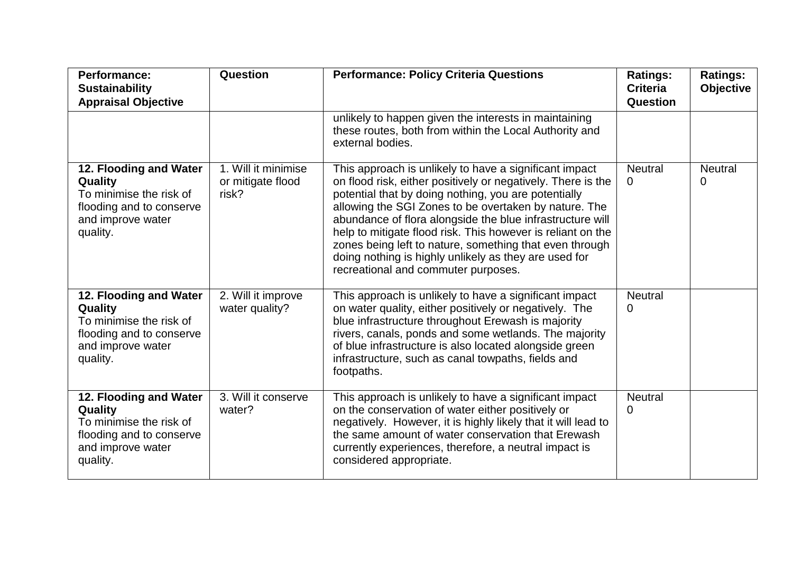| <b>Performance:</b><br><b>Sustainability</b><br><b>Appraisal Objective</b>                                                | Question                                          | <b>Performance: Policy Criteria Questions</b>                                                                                                                                                                                                                                                                                                                                                                                                                                                                                  | <b>Ratings:</b><br><b>Criteria</b><br>Question | <b>Ratings:</b><br><b>Objective</b> |
|---------------------------------------------------------------------------------------------------------------------------|---------------------------------------------------|--------------------------------------------------------------------------------------------------------------------------------------------------------------------------------------------------------------------------------------------------------------------------------------------------------------------------------------------------------------------------------------------------------------------------------------------------------------------------------------------------------------------------------|------------------------------------------------|-------------------------------------|
|                                                                                                                           |                                                   | unlikely to happen given the interests in maintaining<br>these routes, both from within the Local Authority and<br>external bodies.                                                                                                                                                                                                                                                                                                                                                                                            |                                                |                                     |
| 12. Flooding and Water<br>Quality<br>To minimise the risk of<br>flooding and to conserve<br>and improve water<br>quality. | 1. Will it minimise<br>or mitigate flood<br>risk? | This approach is unlikely to have a significant impact<br>on flood risk, either positively or negatively. There is the<br>potential that by doing nothing, you are potentially<br>allowing the SGI Zones to be overtaken by nature. The<br>abundance of flora alongside the blue infrastructure will<br>help to mitigate flood risk. This however is reliant on the<br>zones being left to nature, something that even through<br>doing nothing is highly unlikely as they are used for<br>recreational and commuter purposes. | <b>Neutral</b><br>0                            | <b>Neutral</b><br>0                 |
| 12. Flooding and Water<br>Quality<br>To minimise the risk of<br>flooding and to conserve<br>and improve water<br>quality. | 2. Will it improve<br>water quality?              | This approach is unlikely to have a significant impact<br>on water quality, either positively or negatively. The<br>blue infrastructure throughout Erewash is majority<br>rivers, canals, ponds and some wetlands. The majority<br>of blue infrastructure is also located alongside green<br>infrastructure, such as canal towpaths, fields and<br>footpaths.                                                                                                                                                                  | <b>Neutral</b><br>0                            |                                     |
| 12. Flooding and Water<br>Quality<br>To minimise the risk of<br>flooding and to conserve<br>and improve water<br>quality. | 3. Will it conserve<br>water?                     | This approach is unlikely to have a significant impact<br>on the conservation of water either positively or<br>negatively. However, it is highly likely that it will lead to<br>the same amount of water conservation that Erewash<br>currently experiences, therefore, a neutral impact is<br>considered appropriate.                                                                                                                                                                                                         | <b>Neutral</b><br>0                            |                                     |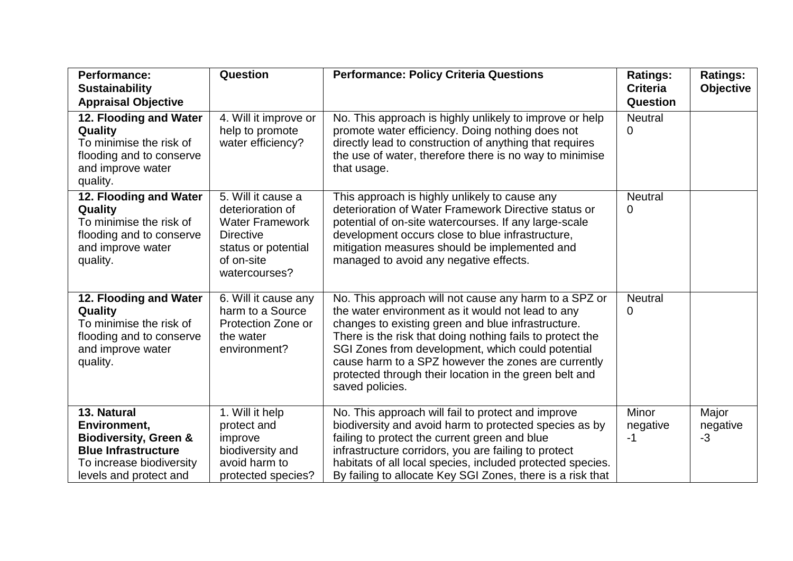| <b>Performance:</b>              | Question               | <b>Performance: Policy Criteria Questions</b>              | <b>Ratings:</b> | <b>Ratings:</b>  |
|----------------------------------|------------------------|------------------------------------------------------------|-----------------|------------------|
| <b>Sustainability</b>            |                        |                                                            | <b>Criteria</b> | <b>Objective</b> |
| <b>Appraisal Objective</b>       |                        |                                                            | Question        |                  |
| 12. Flooding and Water           | 4. Will it improve or  | No. This approach is highly unlikely to improve or help    | <b>Neutral</b>  |                  |
| Quality                          | help to promote        | promote water efficiency. Doing nothing does not           | 0               |                  |
| To minimise the risk of          | water efficiency?      | directly lead to construction of anything that requires    |                 |                  |
| flooding and to conserve         |                        | the use of water, therefore there is no way to minimise    |                 |                  |
| and improve water                |                        | that usage.                                                |                 |                  |
| quality.                         |                        |                                                            |                 |                  |
| 12. Flooding and Water           | 5. Will it cause a     | This approach is highly unlikely to cause any              | <b>Neutral</b>  |                  |
| <b>Quality</b>                   | deterioration of       | deterioration of Water Framework Directive status or       | 0               |                  |
| To minimise the risk of          | <b>Water Framework</b> | potential of on-site watercourses. If any large-scale      |                 |                  |
| flooding and to conserve         | <b>Directive</b>       | development occurs close to blue infrastructure,           |                 |                  |
| and improve water                | status or potential    | mitigation measures should be implemented and              |                 |                  |
| quality.                         | of on-site             | managed to avoid any negative effects.                     |                 |                  |
|                                  | watercourses?          |                                                            |                 |                  |
| 12. Flooding and Water           | 6. Will it cause any   | No. This approach will not cause any harm to a SPZ or      | <b>Neutral</b>  |                  |
| Quality                          | harm to a Source       | the water environment as it would not lead to any          | 0               |                  |
| To minimise the risk of          | Protection Zone or     | changes to existing green and blue infrastructure.         |                 |                  |
| flooding and to conserve         | the water              | There is the risk that doing nothing fails to protect the  |                 |                  |
| and improve water                | environment?           | SGI Zones from development, which could potential          |                 |                  |
| quality.                         |                        | cause harm to a SPZ however the zones are currently        |                 |                  |
|                                  |                        | protected through their location in the green belt and     |                 |                  |
|                                  |                        | saved policies.                                            |                 |                  |
|                                  |                        |                                                            |                 |                  |
| 13. Natural                      | 1. Will it help        | No. This approach will fail to protect and improve         | Minor           | Major            |
| Environment,                     | protect and            | biodiversity and avoid harm to protected species as by     | negative        | negative         |
| <b>Biodiversity, Green &amp;</b> | improve                | failing to protect the current green and blue              | $-1$            | $-3$             |
| <b>Blue Infrastructure</b>       | biodiversity and       | infrastructure corridors, you are failing to protect       |                 |                  |
| To increase biodiversity         | avoid harm to          | habitats of all local species, included protected species. |                 |                  |
| levels and protect and           | protected species?     | By failing to allocate Key SGI Zones, there is a risk that |                 |                  |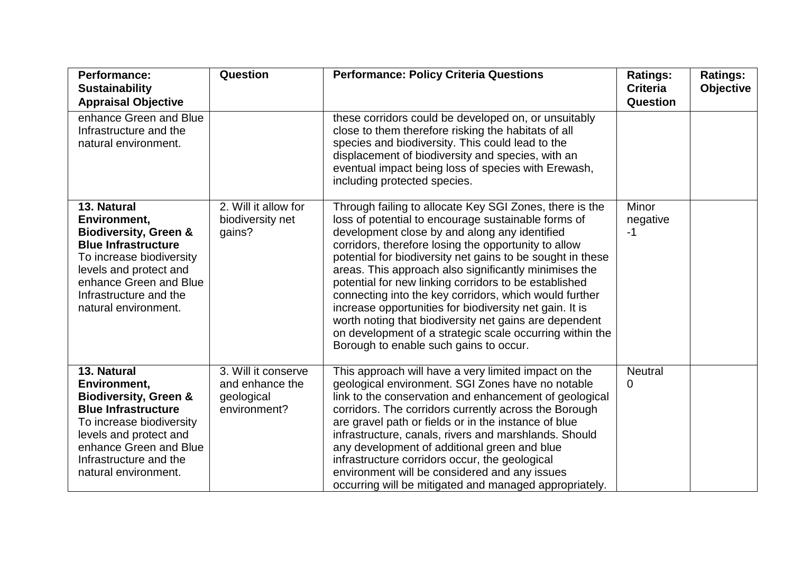| <b>Performance:</b><br><b>Sustainability</b><br><b>Appraisal Objective</b>                                                                                                                                                      | Question                                                             | <b>Performance: Policy Criteria Questions</b>                                                                                                                                                                                                                                                                                                                                                                                                                                                                                                                                                                                                                                                | <b>Ratings:</b><br><b>Criteria</b><br><b>Question</b> | <b>Ratings:</b><br><b>Objective</b> |
|---------------------------------------------------------------------------------------------------------------------------------------------------------------------------------------------------------------------------------|----------------------------------------------------------------------|----------------------------------------------------------------------------------------------------------------------------------------------------------------------------------------------------------------------------------------------------------------------------------------------------------------------------------------------------------------------------------------------------------------------------------------------------------------------------------------------------------------------------------------------------------------------------------------------------------------------------------------------------------------------------------------------|-------------------------------------------------------|-------------------------------------|
| enhance Green and Blue<br>Infrastructure and the<br>natural environment.                                                                                                                                                        |                                                                      | these corridors could be developed on, or unsuitably<br>close to them therefore risking the habitats of all<br>species and biodiversity. This could lead to the<br>displacement of biodiversity and species, with an<br>eventual impact being loss of species with Erewash,<br>including protected species.                                                                                                                                                                                                                                                                                                                                                                                  |                                                       |                                     |
| 13. Natural<br>Environment,<br><b>Biodiversity, Green &amp;</b><br><b>Blue Infrastructure</b><br>To increase biodiversity<br>levels and protect and<br>enhance Green and Blue<br>Infrastructure and the<br>natural environment. | 2. Will it allow for<br>biodiversity net<br>gains?                   | Through failing to allocate Key SGI Zones, there is the<br>loss of potential to encourage sustainable forms of<br>development close by and along any identified<br>corridors, therefore losing the opportunity to allow<br>potential for biodiversity net gains to be sought in these<br>areas. This approach also significantly minimises the<br>potential for new linking corridors to be established<br>connecting into the key corridors, which would further<br>increase opportunities for biodiversity net gain. It is<br>worth noting that biodiversity net gains are dependent<br>on development of a strategic scale occurring within the<br>Borough to enable such gains to occur. | Minor<br>negative<br>$-1$                             |                                     |
| 13. Natural<br>Environment,<br><b>Biodiversity, Green &amp;</b><br><b>Blue Infrastructure</b><br>To increase biodiversity<br>levels and protect and<br>enhance Green and Blue<br>Infrastructure and the<br>natural environment. | 3. Will it conserve<br>and enhance the<br>geological<br>environment? | This approach will have a very limited impact on the<br>geological environment. SGI Zones have no notable<br>link to the conservation and enhancement of geological<br>corridors. The corridors currently across the Borough<br>are gravel path or fields or in the instance of blue<br>infrastructure, canals, rivers and marshlands. Should<br>any development of additional green and blue<br>infrastructure corridors occur, the geological<br>environment will be considered and any issues<br>occurring will be mitigated and managed appropriately.                                                                                                                                   | <b>Neutral</b><br>0                                   |                                     |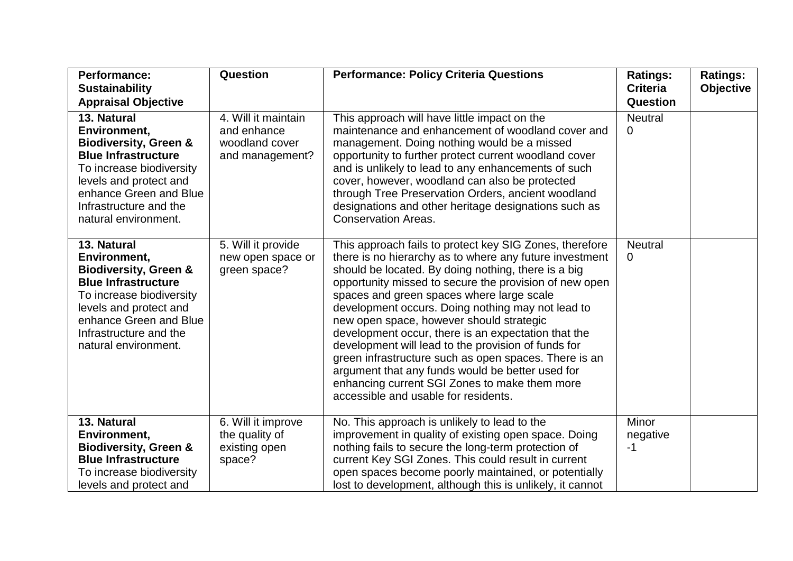| <b>Performance:</b><br><b>Sustainability</b>                                                                                                                                                                                    | Question                                                                | <b>Performance: Policy Criteria Questions</b>                                                                                                                                                                                                                                                                                                                                                                                                                                                                                                                                                                                                                                                         | <b>Ratings:</b><br><b>Criteria</b> | <b>Ratings:</b><br><b>Objective</b> |
|---------------------------------------------------------------------------------------------------------------------------------------------------------------------------------------------------------------------------------|-------------------------------------------------------------------------|-------------------------------------------------------------------------------------------------------------------------------------------------------------------------------------------------------------------------------------------------------------------------------------------------------------------------------------------------------------------------------------------------------------------------------------------------------------------------------------------------------------------------------------------------------------------------------------------------------------------------------------------------------------------------------------------------------|------------------------------------|-------------------------------------|
| <b>Appraisal Objective</b>                                                                                                                                                                                                      |                                                                         |                                                                                                                                                                                                                                                                                                                                                                                                                                                                                                                                                                                                                                                                                                       | Question                           |                                     |
| 13. Natural<br>Environment,<br><b>Biodiversity, Green &amp;</b><br><b>Blue Infrastructure</b><br>To increase biodiversity<br>levels and protect and<br>enhance Green and Blue<br>Infrastructure and the<br>natural environment. | 4. Will it maintain<br>and enhance<br>woodland cover<br>and management? | This approach will have little impact on the<br>maintenance and enhancement of woodland cover and<br>management. Doing nothing would be a missed<br>opportunity to further protect current woodland cover<br>and is unlikely to lead to any enhancements of such<br>cover, however, woodland can also be protected<br>through Tree Preservation Orders, ancient woodland<br>designations and other heritage designations such as<br><b>Conservation Areas.</b>                                                                                                                                                                                                                                        | <b>Neutral</b><br>0                |                                     |
| 13. Natural<br>Environment,<br><b>Biodiversity, Green &amp;</b><br><b>Blue Infrastructure</b><br>To increase biodiversity<br>levels and protect and<br>enhance Green and Blue<br>Infrastructure and the<br>natural environment. | 5. Will it provide<br>new open space or<br>green space?                 | This approach fails to protect key SIG Zones, therefore<br>there is no hierarchy as to where any future investment<br>should be located. By doing nothing, there is a big<br>opportunity missed to secure the provision of new open<br>spaces and green spaces where large scale<br>development occurs. Doing nothing may not lead to<br>new open space, however should strategic<br>development occur, there is an expectation that the<br>development will lead to the provision of funds for<br>green infrastructure such as open spaces. There is an<br>argument that any funds would be better used for<br>enhancing current SGI Zones to make them more<br>accessible and usable for residents. | <b>Neutral</b><br>0                |                                     |
| 13. Natural<br>Environment,<br><b>Biodiversity, Green &amp;</b><br><b>Blue Infrastructure</b><br>To increase biodiversity<br>levels and protect and                                                                             | 6. Will it improve<br>the quality of<br>existing open<br>space?         | No. This approach is unlikely to lead to the<br>improvement in quality of existing open space. Doing<br>nothing fails to secure the long-term protection of<br>current Key SGI Zones. This could result in current<br>open spaces become poorly maintained, or potentially<br>lost to development, although this is unlikely, it cannot                                                                                                                                                                                                                                                                                                                                                               | Minor<br>negative<br>$-1$          |                                     |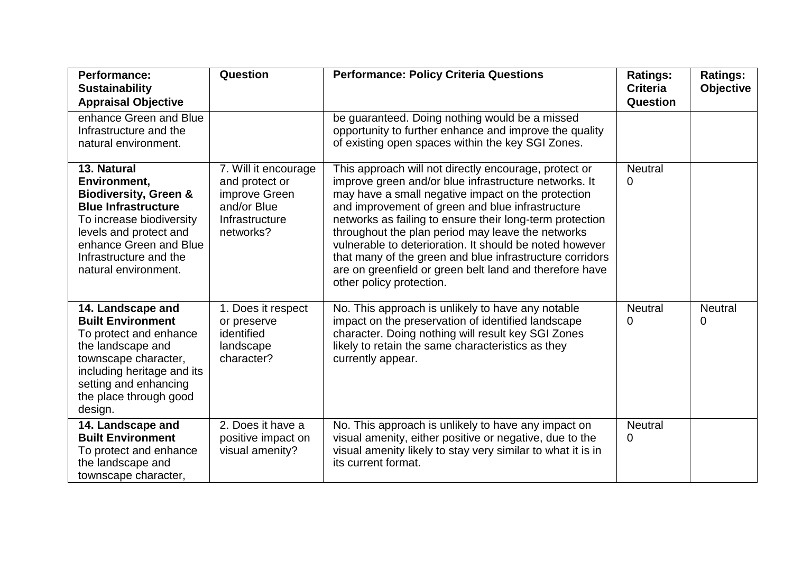| <b>Performance:</b><br><b>Sustainability</b><br><b>Appraisal Objective</b>                                                                                                                                                      | Question                                                                                              | <b>Performance: Policy Criteria Questions</b>                                                                                                                                                                                                                                                                                                                                                                                                                                                                                                           | <b>Ratings:</b><br><b>Criteria</b><br>Question | <b>Ratings:</b><br><b>Objective</b> |
|---------------------------------------------------------------------------------------------------------------------------------------------------------------------------------------------------------------------------------|-------------------------------------------------------------------------------------------------------|---------------------------------------------------------------------------------------------------------------------------------------------------------------------------------------------------------------------------------------------------------------------------------------------------------------------------------------------------------------------------------------------------------------------------------------------------------------------------------------------------------------------------------------------------------|------------------------------------------------|-------------------------------------|
| enhance Green and Blue<br>Infrastructure and the<br>natural environment.                                                                                                                                                        |                                                                                                       | be guaranteed. Doing nothing would be a missed<br>opportunity to further enhance and improve the quality<br>of existing open spaces within the key SGI Zones.                                                                                                                                                                                                                                                                                                                                                                                           |                                                |                                     |
| 13. Natural<br>Environment,<br><b>Biodiversity, Green &amp;</b><br><b>Blue Infrastructure</b><br>To increase biodiversity<br>levels and protect and<br>enhance Green and Blue<br>Infrastructure and the<br>natural environment. | 7. Will it encourage<br>and protect or<br>improve Green<br>and/or Blue<br>Infrastructure<br>networks? | This approach will not directly encourage, protect or<br>improve green and/or blue infrastructure networks. It<br>may have a small negative impact on the protection<br>and improvement of green and blue infrastructure<br>networks as failing to ensure their long-term protection<br>throughout the plan period may leave the networks<br>vulnerable to deterioration. It should be noted however<br>that many of the green and blue infrastructure corridors<br>are on greenfield or green belt land and therefore have<br>other policy protection. | <b>Neutral</b><br>0                            |                                     |
| 14. Landscape and<br><b>Built Environment</b><br>To protect and enhance<br>the landscape and<br>townscape character,<br>including heritage and its<br>setting and enhancing<br>the place through good<br>design.                | 1. Does it respect<br>or preserve<br>identified<br>landscape<br>character?                            | No. This approach is unlikely to have any notable<br>impact on the preservation of identified landscape<br>character. Doing nothing will result key SGI Zones<br>likely to retain the same characteristics as they<br>currently appear.                                                                                                                                                                                                                                                                                                                 | <b>Neutral</b><br>0                            | <b>Neutral</b><br>$\Omega$          |
| 14. Landscape and<br><b>Built Environment</b><br>To protect and enhance<br>the landscape and<br>townscape character,                                                                                                            | 2. Does it have a<br>positive impact on<br>visual amenity?                                            | No. This approach is unlikely to have any impact on<br>visual amenity, either positive or negative, due to the<br>visual amenity likely to stay very similar to what it is in<br>its current format.                                                                                                                                                                                                                                                                                                                                                    | <b>Neutral</b><br>$\mathbf{0}$                 |                                     |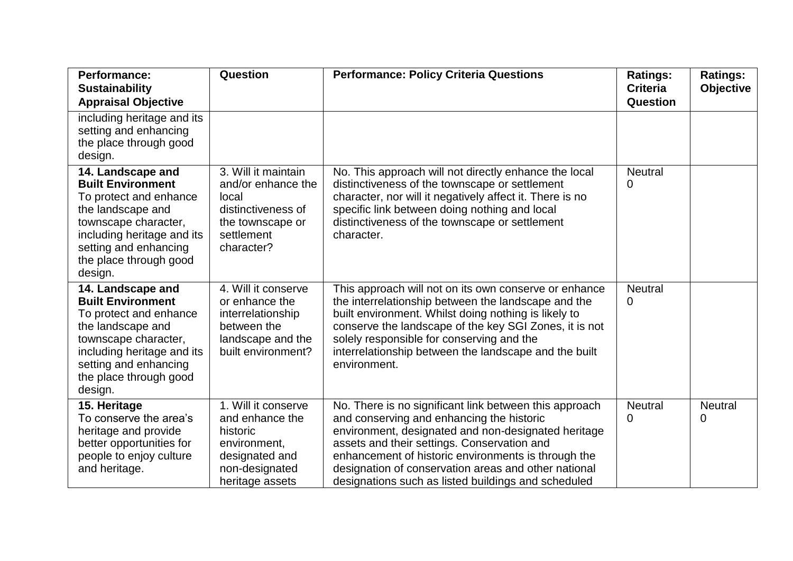| <b>Performance:</b><br><b>Sustainability</b><br><b>Appraisal Objective</b>                                                                                                                                       | Question                                                                                                                  | <b>Performance: Policy Criteria Questions</b>                                                                                                                                                                                                                                                                                                                                   | <b>Ratings:</b><br><b>Criteria</b><br>Question | <b>Ratings:</b><br><b>Objective</b> |
|------------------------------------------------------------------------------------------------------------------------------------------------------------------------------------------------------------------|---------------------------------------------------------------------------------------------------------------------------|---------------------------------------------------------------------------------------------------------------------------------------------------------------------------------------------------------------------------------------------------------------------------------------------------------------------------------------------------------------------------------|------------------------------------------------|-------------------------------------|
| including heritage and its<br>setting and enhancing<br>the place through good<br>design.                                                                                                                         |                                                                                                                           |                                                                                                                                                                                                                                                                                                                                                                                 |                                                |                                     |
| 14. Landscape and<br><b>Built Environment</b><br>To protect and enhance<br>the landscape and<br>townscape character,<br>including heritage and its<br>setting and enhancing<br>the place through good<br>design. | 3. Will it maintain<br>and/or enhance the<br>local<br>distinctiveness of<br>the townscape or<br>settlement<br>character?  | No. This approach will not directly enhance the local<br>distinctiveness of the townscape or settlement<br>character, nor will it negatively affect it. There is no<br>specific link between doing nothing and local<br>distinctiveness of the townscape or settlement<br>character.                                                                                            | <b>Neutral</b><br>0                            |                                     |
| 14. Landscape and<br><b>Built Environment</b><br>To protect and enhance<br>the landscape and<br>townscape character,<br>including heritage and its<br>setting and enhancing<br>the place through good<br>design. | 4. Will it conserve<br>or enhance the<br>interrelationship<br>between the<br>landscape and the<br>built environment?      | This approach will not on its own conserve or enhance<br>the interrelationship between the landscape and the<br>built environment. Whilst doing nothing is likely to<br>conserve the landscape of the key SGI Zones, it is not<br>solely responsible for conserving and the<br>interrelationship between the landscape and the built<br>environment.                            | <b>Neutral</b><br>0                            |                                     |
| 15. Heritage<br>To conserve the area's<br>heritage and provide<br>better opportunities for<br>people to enjoy culture<br>and heritage.                                                                           | 1. Will it conserve<br>and enhance the<br>historic<br>environment,<br>designated and<br>non-designated<br>heritage assets | No. There is no significant link between this approach<br>and conserving and enhancing the historic<br>environment, designated and non-designated heritage<br>assets and their settings. Conservation and<br>enhancement of historic environments is through the<br>designation of conservation areas and other national<br>designations such as listed buildings and scheduled | <b>Neutral</b><br>0                            | <b>Neutral</b><br>0                 |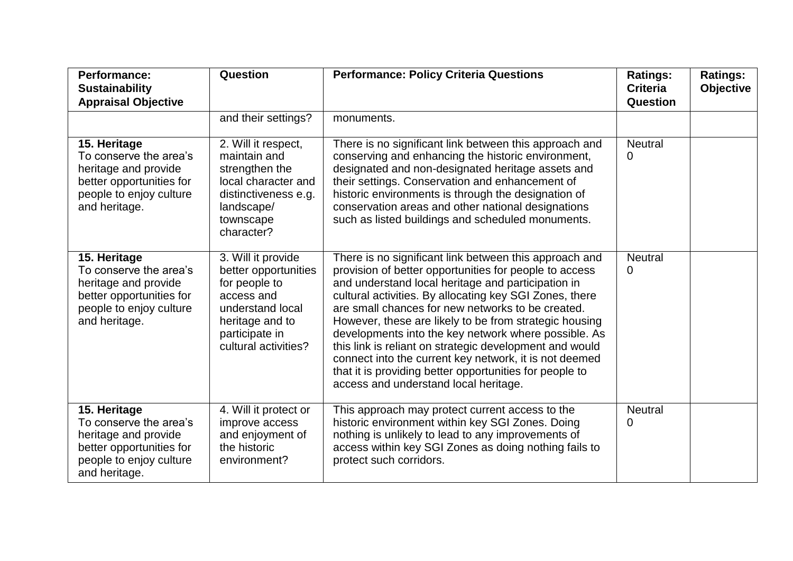| <b>Performance:</b><br><b>Sustainability</b><br><b>Appraisal Objective</b>                                                             | Question                                                                                                                                                   | <b>Performance: Policy Criteria Questions</b>                                                                                                                                                                                                                                                                                                                                                                                                                                                                                                                                                                                     | <b>Ratings:</b><br><b>Criteria</b><br>Question | <b>Ratings:</b><br><b>Objective</b> |
|----------------------------------------------------------------------------------------------------------------------------------------|------------------------------------------------------------------------------------------------------------------------------------------------------------|-----------------------------------------------------------------------------------------------------------------------------------------------------------------------------------------------------------------------------------------------------------------------------------------------------------------------------------------------------------------------------------------------------------------------------------------------------------------------------------------------------------------------------------------------------------------------------------------------------------------------------------|------------------------------------------------|-------------------------------------|
|                                                                                                                                        | and their settings?                                                                                                                                        | monuments.                                                                                                                                                                                                                                                                                                                                                                                                                                                                                                                                                                                                                        |                                                |                                     |
| 15. Heritage<br>To conserve the area's<br>heritage and provide<br>better opportunities for<br>people to enjoy culture<br>and heritage. | 2. Will it respect,<br>maintain and<br>strengthen the<br>local character and<br>distinctiveness e.g.<br>landscape/<br>townscape<br>character?              | There is no significant link between this approach and<br>conserving and enhancing the historic environment,<br>designated and non-designated heritage assets and<br>their settings. Conservation and enhancement of<br>historic environments is through the designation of<br>conservation areas and other national designations<br>such as listed buildings and scheduled monuments.                                                                                                                                                                                                                                            | <b>Neutral</b><br>0                            |                                     |
| 15. Heritage<br>To conserve the area's<br>heritage and provide<br>better opportunities for<br>people to enjoy culture<br>and heritage. | 3. Will it provide<br>better opportunities<br>for people to<br>access and<br>understand local<br>heritage and to<br>participate in<br>cultural activities? | There is no significant link between this approach and<br>provision of better opportunities for people to access<br>and understand local heritage and participation in<br>cultural activities. By allocating key SGI Zones, there<br>are small chances for new networks to be created.<br>However, these are likely to be from strategic housing<br>developments into the key network where possible. As<br>this link is reliant on strategic development and would<br>connect into the current key network, it is not deemed<br>that it is providing better opportunities for people to<br>access and understand local heritage. | <b>Neutral</b><br>0                            |                                     |
| 15. Heritage<br>To conserve the area's<br>heritage and provide<br>better opportunities for<br>people to enjoy culture<br>and heritage. | 4. Will it protect or<br>improve access<br>and enjoyment of<br>the historic<br>environment?                                                                | This approach may protect current access to the<br>historic environment within key SGI Zones. Doing<br>nothing is unlikely to lead to any improvements of<br>access within key SGI Zones as doing nothing fails to<br>protect such corridors.                                                                                                                                                                                                                                                                                                                                                                                     | <b>Neutral</b><br>0                            |                                     |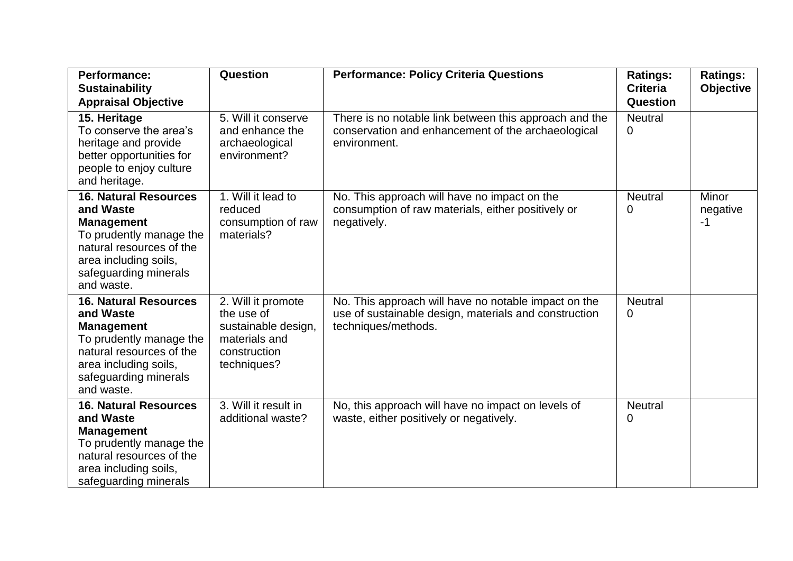| <b>Performance:</b><br><b>Sustainability</b><br><b>Appraisal Objective</b>                                                                                                            | Question                                                                                                | <b>Performance: Policy Criteria Questions</b>                                                                                        | <b>Ratings:</b><br><b>Criteria</b><br>Question | <b>Ratings:</b><br><b>Objective</b> |
|---------------------------------------------------------------------------------------------------------------------------------------------------------------------------------------|---------------------------------------------------------------------------------------------------------|--------------------------------------------------------------------------------------------------------------------------------------|------------------------------------------------|-------------------------------------|
| 15. Heritage<br>To conserve the area's<br>heritage and provide<br>better opportunities for<br>people to enjoy culture<br>and heritage.                                                | 5. Will it conserve<br>and enhance the<br>archaeological<br>environment?                                | There is no notable link between this approach and the<br>conservation and enhancement of the archaeological<br>environment.         | <b>Neutral</b><br>0                            |                                     |
| <b>16. Natural Resources</b><br>and Waste<br><b>Management</b><br>To prudently manage the<br>natural resources of the<br>area including soils,<br>safeguarding minerals<br>and waste. | 1. Will it lead to<br>reduced<br>consumption of raw<br>materials?                                       | No. This approach will have no impact on the<br>consumption of raw materials, either positively or<br>negatively.                    | <b>Neutral</b><br>0                            | Minor<br>negative<br>$-1$           |
| <b>16. Natural Resources</b><br>and Waste<br><b>Management</b><br>To prudently manage the<br>natural resources of the<br>area including soils,<br>safeguarding minerals<br>and waste. | 2. Will it promote<br>the use of<br>sustainable design,<br>materials and<br>construction<br>techniques? | No. This approach will have no notable impact on the<br>use of sustainable design, materials and construction<br>techniques/methods. | <b>Neutral</b><br>0                            |                                     |
| <b>16. Natural Resources</b><br>and Waste<br><b>Management</b><br>To prudently manage the<br>natural resources of the<br>area including soils,<br>safeguarding minerals               | 3. Will it result in<br>additional waste?                                                               | No, this approach will have no impact on levels of<br>waste, either positively or negatively.                                        | <b>Neutral</b><br>0                            |                                     |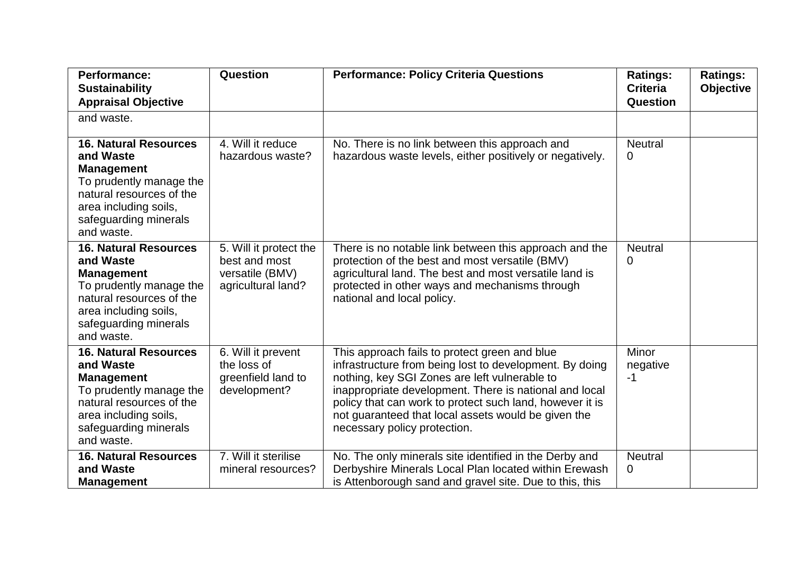| <b>Performance:</b><br><b>Sustainability</b><br><b>Appraisal Objective</b>                                                                                                            | Question                                                                         | <b>Performance: Policy Criteria Questions</b>                                                                                                                                                                                                                                                                                                                          | <b>Ratings:</b><br><b>Criteria</b><br>Question | <b>Ratings:</b><br><b>Objective</b> |
|---------------------------------------------------------------------------------------------------------------------------------------------------------------------------------------|----------------------------------------------------------------------------------|------------------------------------------------------------------------------------------------------------------------------------------------------------------------------------------------------------------------------------------------------------------------------------------------------------------------------------------------------------------------|------------------------------------------------|-------------------------------------|
| and waste.                                                                                                                                                                            |                                                                                  |                                                                                                                                                                                                                                                                                                                                                                        |                                                |                                     |
| <b>16. Natural Resources</b><br>and Waste<br><b>Management</b><br>To prudently manage the<br>natural resources of the<br>area including soils,<br>safeguarding minerals<br>and waste. | 4. Will it reduce<br>hazardous waste?                                            | No. There is no link between this approach and<br>hazardous waste levels, either positively or negatively.                                                                                                                                                                                                                                                             | <b>Neutral</b><br>0                            |                                     |
| <b>16. Natural Resources</b><br>and Waste<br><b>Management</b><br>To prudently manage the<br>natural resources of the<br>area including soils,<br>safeguarding minerals<br>and waste. | 5. Will it protect the<br>best and most<br>versatile (BMV)<br>agricultural land? | There is no notable link between this approach and the<br>protection of the best and most versatile (BMV)<br>agricultural land. The best and most versatile land is<br>protected in other ways and mechanisms through<br>national and local policy.                                                                                                                    | <b>Neutral</b><br>0                            |                                     |
| <b>16. Natural Resources</b><br>and Waste<br><b>Management</b><br>To prudently manage the<br>natural resources of the<br>area including soils,<br>safeguarding minerals<br>and waste. | 6. Will it prevent<br>the loss of<br>greenfield land to<br>development?          | This approach fails to protect green and blue<br>infrastructure from being lost to development. By doing<br>nothing, key SGI Zones are left vulnerable to<br>inappropriate development. There is national and local<br>policy that can work to protect such land, however it is<br>not guaranteed that local assets would be given the<br>necessary policy protection. | Minor<br>negative<br>-1                        |                                     |
| <b>16. Natural Resources</b><br>and Waste<br><b>Management</b>                                                                                                                        | 7. Will it sterilise<br>mineral resources?                                       | No. The only minerals site identified in the Derby and<br>Derbyshire Minerals Local Plan located within Erewash<br>is Attenborough sand and gravel site. Due to this, this                                                                                                                                                                                             | <b>Neutral</b><br>0                            |                                     |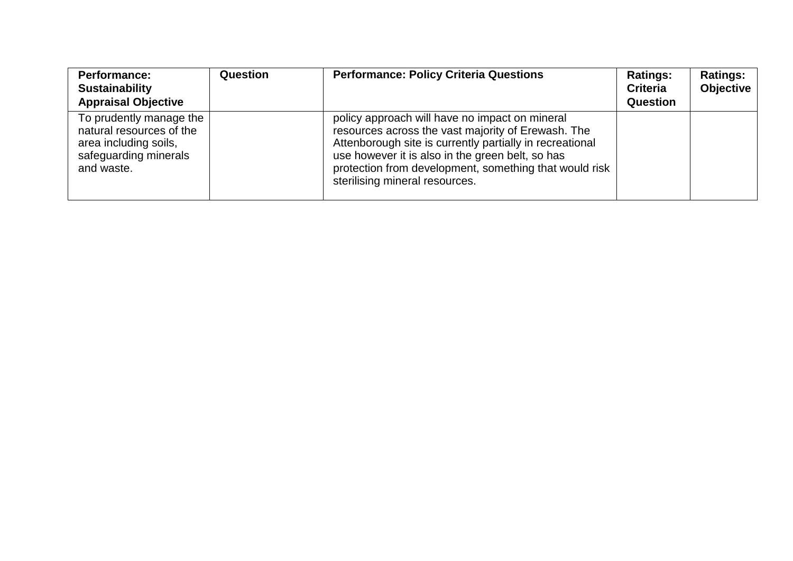| <b>Performance:</b><br><b>Sustainability</b><br><b>Appraisal Objective</b>                                          | <b>Question</b> | <b>Performance: Policy Criteria Questions</b>                                                                                                                                                                                                                                                                    | <b>Ratings:</b><br><b>Criteria</b><br>Question | <b>Ratings:</b><br><b>Objective</b> |
|---------------------------------------------------------------------------------------------------------------------|-----------------|------------------------------------------------------------------------------------------------------------------------------------------------------------------------------------------------------------------------------------------------------------------------------------------------------------------|------------------------------------------------|-------------------------------------|
| To prudently manage the<br>natural resources of the<br>area including soils,<br>safeguarding minerals<br>and waste. |                 | policy approach will have no impact on mineral<br>resources across the vast majority of Erewash. The<br>Attenborough site is currently partially in recreational<br>use however it is also in the green belt, so has<br>protection from development, something that would risk<br>sterilising mineral resources. |                                                |                                     |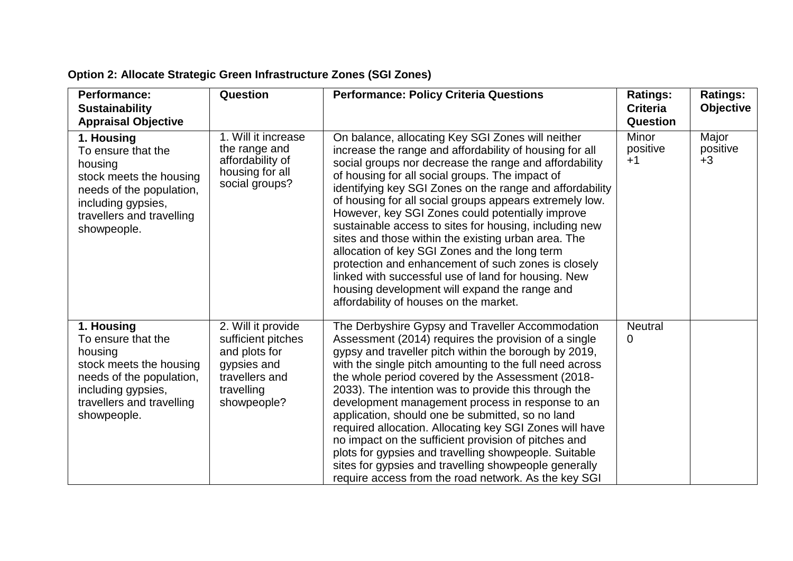| <b>Performance:</b><br><b>Sustainability</b><br><b>Appraisal Objective</b>                                                                                           | Question                                                                                                                | <b>Performance: Policy Criteria Questions</b>                                                                                                                                                                                                                                                                                                                                                                                                                                                                                                                                                                                                                                                                                                                                   | <b>Ratings:</b><br><b>Criteria</b><br><b>Question</b> | <b>Ratings:</b><br><b>Objective</b> |
|----------------------------------------------------------------------------------------------------------------------------------------------------------------------|-------------------------------------------------------------------------------------------------------------------------|---------------------------------------------------------------------------------------------------------------------------------------------------------------------------------------------------------------------------------------------------------------------------------------------------------------------------------------------------------------------------------------------------------------------------------------------------------------------------------------------------------------------------------------------------------------------------------------------------------------------------------------------------------------------------------------------------------------------------------------------------------------------------------|-------------------------------------------------------|-------------------------------------|
| 1. Housing<br>To ensure that the<br>housing<br>stock meets the housing<br>needs of the population,<br>including gypsies,<br>travellers and travelling<br>showpeople. | 1. Will it increase<br>the range and<br>affordability of<br>housing for all<br>social groups?                           | On balance, allocating Key SGI Zones will neither<br>increase the range and affordability of housing for all<br>social groups nor decrease the range and affordability<br>of housing for all social groups. The impact of<br>identifying key SGI Zones on the range and affordability<br>of housing for all social groups appears extremely low.<br>However, key SGI Zones could potentially improve<br>sustainable access to sites for housing, including new<br>sites and those within the existing urban area. The<br>allocation of key SGI Zones and the long term<br>protection and enhancement of such zones is closely<br>linked with successful use of land for housing. New<br>housing development will expand the range and<br>affordability of houses on the market. | <b>Minor</b><br>positive<br>$+1$                      | Major<br>positive<br>$+3$           |
| 1. Housing<br>To ensure that the<br>housing<br>stock meets the housing<br>needs of the population,<br>including gypsies,<br>travellers and travelling<br>showpeople. | 2. Will it provide<br>sufficient pitches<br>and plots for<br>gypsies and<br>travellers and<br>travelling<br>showpeople? | The Derbyshire Gypsy and Traveller Accommodation<br>Assessment (2014) requires the provision of a single<br>gypsy and traveller pitch within the borough by 2019,<br>with the single pitch amounting to the full need across<br>the whole period covered by the Assessment (2018-<br>2033). The intention was to provide this through the<br>development management process in response to an<br>application, should one be submitted, so no land<br>required allocation. Allocating key SGI Zones will have<br>no impact on the sufficient provision of pitches and<br>plots for gypsies and travelling showpeople. Suitable<br>sites for gypsies and travelling showpeople generally<br>require access from the road network. As the key SGI                                  | <b>Neutral</b><br>0                                   |                                     |

## **Option 2: Allocate Strategic Green Infrastructure Zones (SGI Zones)**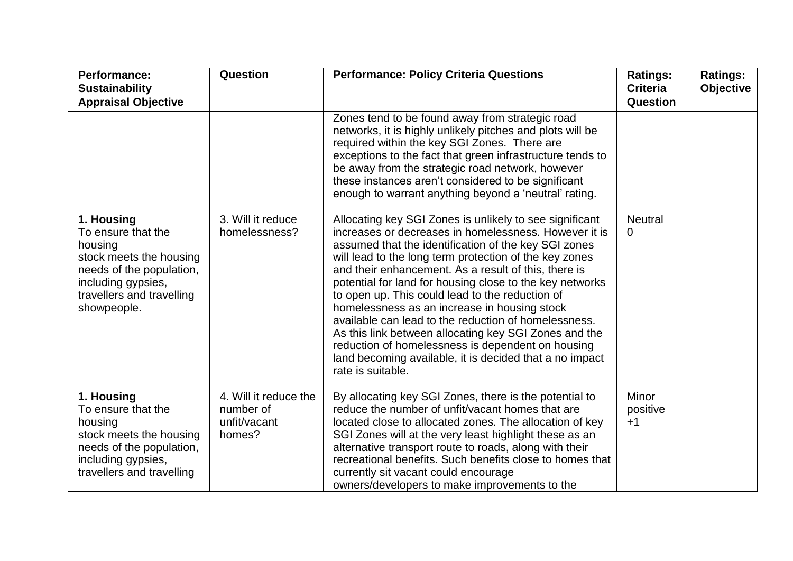| <b>Performance:</b><br><b>Sustainability</b><br><b>Appraisal Objective</b>                                                                                           | Question                                                     | <b>Performance: Policy Criteria Questions</b>                                                                                                                                                                                                                                                                                                                                                                                                                                                                                                                                                                                                                                                                   | <b>Ratings:</b><br><b>Criteria</b><br><b>Question</b> | <b>Ratings:</b><br><b>Objective</b> |
|----------------------------------------------------------------------------------------------------------------------------------------------------------------------|--------------------------------------------------------------|-----------------------------------------------------------------------------------------------------------------------------------------------------------------------------------------------------------------------------------------------------------------------------------------------------------------------------------------------------------------------------------------------------------------------------------------------------------------------------------------------------------------------------------------------------------------------------------------------------------------------------------------------------------------------------------------------------------------|-------------------------------------------------------|-------------------------------------|
|                                                                                                                                                                      |                                                              | Zones tend to be found away from strategic road<br>networks, it is highly unlikely pitches and plots will be<br>required within the key SGI Zones. There are<br>exceptions to the fact that green infrastructure tends to<br>be away from the strategic road network, however<br>these instances aren't considered to be significant<br>enough to warrant anything beyond a 'neutral' rating.                                                                                                                                                                                                                                                                                                                   |                                                       |                                     |
| 1. Housing<br>To ensure that the<br>housing<br>stock meets the housing<br>needs of the population,<br>including gypsies,<br>travellers and travelling<br>showpeople. | 3. Will it reduce<br>homelessness?                           | Allocating key SGI Zones is unlikely to see significant<br>increases or decreases in homelessness. However it is<br>assumed that the identification of the key SGI zones<br>will lead to the long term protection of the key zones<br>and their enhancement. As a result of this, there is<br>potential for land for housing close to the key networks<br>to open up. This could lead to the reduction of<br>homelessness as an increase in housing stock<br>available can lead to the reduction of homelessness.<br>As this link between allocating key SGI Zones and the<br>reduction of homelessness is dependent on housing<br>land becoming available, it is decided that a no impact<br>rate is suitable. | <b>Neutral</b><br>0                                   |                                     |
| 1. Housing<br>To ensure that the<br>housing<br>stock meets the housing<br>needs of the population,<br>including gypsies,<br>travellers and travelling                | 4. Will it reduce the<br>number of<br>unfit/vacant<br>homes? | By allocating key SGI Zones, there is the potential to<br>reduce the number of unfit/vacant homes that are<br>located close to allocated zones. The allocation of key<br>SGI Zones will at the very least highlight these as an<br>alternative transport route to roads, along with their<br>recreational benefits. Such benefits close to homes that<br>currently sit vacant could encourage<br>owners/developers to make improvements to the                                                                                                                                                                                                                                                                  | Minor<br>positive<br>$+1$                             |                                     |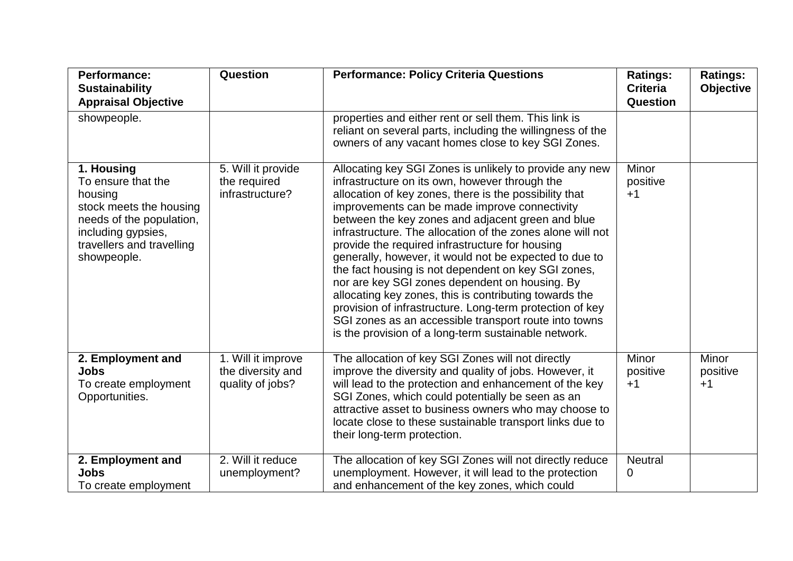| <b>Performance:</b><br><b>Sustainability</b><br><b>Appraisal Objective</b>                                                                                           | Question                                                    | <b>Performance: Policy Criteria Questions</b>                                                                                                                                                                                                                                                                                                                                                                                                                                                                                                                                                                                                                                                                                                                                                        | <b>Ratings:</b><br><b>Criteria</b><br>Question | <b>Ratings:</b><br>Objective     |
|----------------------------------------------------------------------------------------------------------------------------------------------------------------------|-------------------------------------------------------------|------------------------------------------------------------------------------------------------------------------------------------------------------------------------------------------------------------------------------------------------------------------------------------------------------------------------------------------------------------------------------------------------------------------------------------------------------------------------------------------------------------------------------------------------------------------------------------------------------------------------------------------------------------------------------------------------------------------------------------------------------------------------------------------------------|------------------------------------------------|----------------------------------|
| showpeople.                                                                                                                                                          |                                                             | properties and either rent or sell them. This link is<br>reliant on several parts, including the willingness of the<br>owners of any vacant homes close to key SGI Zones.                                                                                                                                                                                                                                                                                                                                                                                                                                                                                                                                                                                                                            |                                                |                                  |
| 1. Housing<br>To ensure that the<br>housing<br>stock meets the housing<br>needs of the population,<br>including gypsies,<br>travellers and travelling<br>showpeople. | 5. Will it provide<br>the required<br>infrastructure?       | Allocating key SGI Zones is unlikely to provide any new<br>infrastructure on its own, however through the<br>allocation of key zones, there is the possibility that<br>improvements can be made improve connectivity<br>between the key zones and adjacent green and blue<br>infrastructure. The allocation of the zones alone will not<br>provide the required infrastructure for housing<br>generally, however, it would not be expected to due to<br>the fact housing is not dependent on key SGI zones,<br>nor are key SGI zones dependent on housing. By<br>allocating key zones, this is contributing towards the<br>provision of infrastructure. Long-term protection of key<br>SGI zones as an accessible transport route into towns<br>is the provision of a long-term sustainable network. | Minor<br>positive<br>$+1$                      |                                  |
| 2. Employment and<br><b>Jobs</b><br>To create employment<br>Opportunities.                                                                                           | 1. Will it improve<br>the diversity and<br>quality of jobs? | The allocation of key SGI Zones will not directly<br>improve the diversity and quality of jobs. However, it<br>will lead to the protection and enhancement of the key<br>SGI Zones, which could potentially be seen as an<br>attractive asset to business owners who may choose to<br>locate close to these sustainable transport links due to<br>their long-term protection.                                                                                                                                                                                                                                                                                                                                                                                                                        | Minor<br>positive<br>$+1$                      | <b>Minor</b><br>positive<br>$+1$ |
| 2. Employment and<br><b>Jobs</b><br>To create employment                                                                                                             | 2. Will it reduce<br>unemployment?                          | The allocation of key SGI Zones will not directly reduce<br>unemployment. However, it will lead to the protection<br>and enhancement of the key zones, which could                                                                                                                                                                                                                                                                                                                                                                                                                                                                                                                                                                                                                                   | <b>Neutral</b><br>0                            |                                  |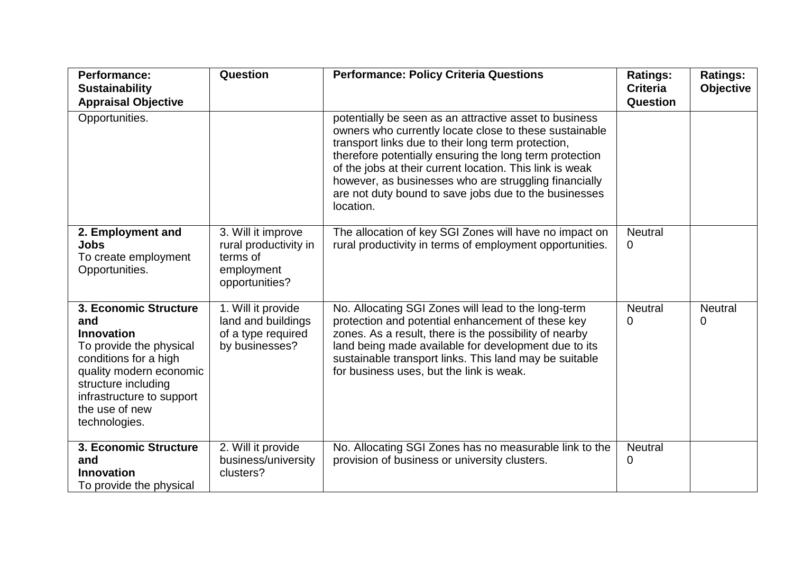| <b>Performance:</b><br><b>Sustainability</b><br><b>Appraisal Objective</b>                                                                                                                                              | Question                                                                                | <b>Performance: Policy Criteria Questions</b>                                                                                                                                                                                                                                                                                                                                                                                | <b>Ratings:</b><br><b>Criteria</b><br><b>Question</b> | <b>Ratings:</b><br><b>Objective</b> |
|-------------------------------------------------------------------------------------------------------------------------------------------------------------------------------------------------------------------------|-----------------------------------------------------------------------------------------|------------------------------------------------------------------------------------------------------------------------------------------------------------------------------------------------------------------------------------------------------------------------------------------------------------------------------------------------------------------------------------------------------------------------------|-------------------------------------------------------|-------------------------------------|
| Opportunities.                                                                                                                                                                                                          |                                                                                         | potentially be seen as an attractive asset to business<br>owners who currently locate close to these sustainable<br>transport links due to their long term protection,<br>therefore potentially ensuring the long term protection<br>of the jobs at their current location. This link is weak<br>however, as businesses who are struggling financially<br>are not duty bound to save jobs due to the businesses<br>location. |                                                       |                                     |
| 2. Employment and<br><b>Jobs</b><br>To create employment<br>Opportunities.                                                                                                                                              | 3. Will it improve<br>rural productivity in<br>terms of<br>employment<br>opportunities? | The allocation of key SGI Zones will have no impact on<br>rural productivity in terms of employment opportunities.                                                                                                                                                                                                                                                                                                           | <b>Neutral</b><br>0                                   |                                     |
| 3. Economic Structure<br>and<br><b>Innovation</b><br>To provide the physical<br>conditions for a high<br>quality modern economic<br>structure including<br>infrastructure to support<br>the use of new<br>technologies. | 1. Will it provide<br>land and buildings<br>of a type required<br>by businesses?        | No. Allocating SGI Zones will lead to the long-term<br>protection and potential enhancement of these key<br>zones. As a result, there is the possibility of nearby<br>land being made available for development due to its<br>sustainable transport links. This land may be suitable<br>for business uses, but the link is weak.                                                                                             | <b>Neutral</b><br>0                                   | <b>Neutral</b><br>0                 |
| 3. Economic Structure<br>and<br><b>Innovation</b><br>To provide the physical                                                                                                                                            | 2. Will it provide<br>business/university<br>clusters?                                  | No. Allocating SGI Zones has no measurable link to the<br>provision of business or university clusters.                                                                                                                                                                                                                                                                                                                      | <b>Neutral</b><br>0                                   |                                     |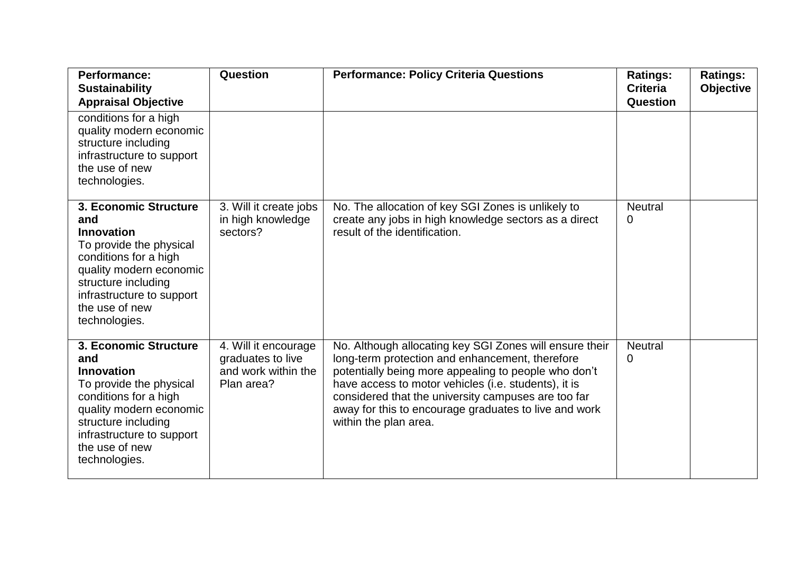| <b>Performance:</b><br><b>Sustainability</b><br><b>Appraisal Objective</b>                                                                                                                                              | Question                                                                       | <b>Performance: Policy Criteria Questions</b>                                                                                                                                                                                                                                                                                                                       | <b>Ratings:</b><br><b>Criteria</b><br>Question | <b>Ratings:</b><br><b>Objective</b> |
|-------------------------------------------------------------------------------------------------------------------------------------------------------------------------------------------------------------------------|--------------------------------------------------------------------------------|---------------------------------------------------------------------------------------------------------------------------------------------------------------------------------------------------------------------------------------------------------------------------------------------------------------------------------------------------------------------|------------------------------------------------|-------------------------------------|
| conditions for a high<br>quality modern economic<br>structure including<br>infrastructure to support<br>the use of new<br>technologies.                                                                                 |                                                                                |                                                                                                                                                                                                                                                                                                                                                                     |                                                |                                     |
| 3. Economic Structure<br>and<br><b>Innovation</b><br>To provide the physical<br>conditions for a high<br>quality modern economic<br>structure including<br>infrastructure to support<br>the use of new<br>technologies. | 3. Will it create jobs<br>in high knowledge<br>sectors?                        | No. The allocation of key SGI Zones is unlikely to<br>create any jobs in high knowledge sectors as a direct<br>result of the identification.                                                                                                                                                                                                                        | <b>Neutral</b><br>0                            |                                     |
| 3. Economic Structure<br>and<br><b>Innovation</b><br>To provide the physical<br>conditions for a high<br>quality modern economic<br>structure including<br>infrastructure to support<br>the use of new<br>technologies. | 4. Will it encourage<br>graduates to live<br>and work within the<br>Plan area? | No. Although allocating key SGI Zones will ensure their<br>long-term protection and enhancement, therefore<br>potentially being more appealing to people who don't<br>have access to motor vehicles (i.e. students), it is<br>considered that the university campuses are too far<br>away for this to encourage graduates to live and work<br>within the plan area. | <b>Neutral</b><br>0                            |                                     |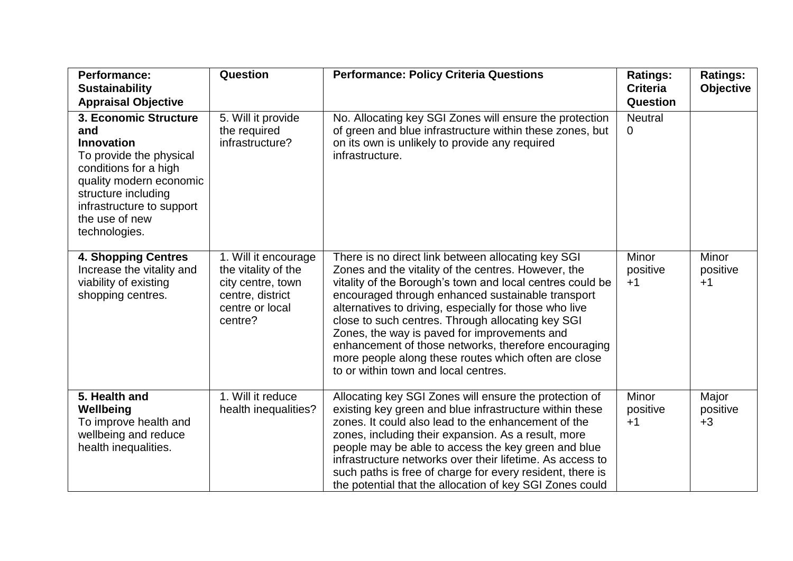| <b>Performance:</b><br><b>Sustainability</b><br><b>Appraisal Objective</b>                                                                                                                                              | Question                                                                                                           | <b>Performance: Policy Criteria Questions</b>                                                                                                                                                                                                                                                                                                                                                                                                                                                                                                      | <b>Ratings:</b><br><b>Criteria</b><br>Question | <b>Ratings:</b><br><b>Objective</b> |
|-------------------------------------------------------------------------------------------------------------------------------------------------------------------------------------------------------------------------|--------------------------------------------------------------------------------------------------------------------|----------------------------------------------------------------------------------------------------------------------------------------------------------------------------------------------------------------------------------------------------------------------------------------------------------------------------------------------------------------------------------------------------------------------------------------------------------------------------------------------------------------------------------------------------|------------------------------------------------|-------------------------------------|
| 3. Economic Structure<br>and<br><b>Innovation</b><br>To provide the physical<br>conditions for a high<br>quality modern economic<br>structure including<br>infrastructure to support<br>the use of new<br>technologies. | 5. Will it provide<br>the required<br>infrastructure?                                                              | No. Allocating key SGI Zones will ensure the protection<br>of green and blue infrastructure within these zones, but<br>on its own is unlikely to provide any required<br>infrastructure.                                                                                                                                                                                                                                                                                                                                                           | <b>Neutral</b><br>0                            |                                     |
| <b>4. Shopping Centres</b><br>Increase the vitality and<br>viability of existing<br>shopping centres.                                                                                                                   | 1. Will it encourage<br>the vitality of the<br>city centre, town<br>centre, district<br>centre or local<br>centre? | There is no direct link between allocating key SGI<br>Zones and the vitality of the centres. However, the<br>vitality of the Borough's town and local centres could be<br>encouraged through enhanced sustainable transport<br>alternatives to driving, especially for those who live<br>close to such centres. Through allocating key SGI<br>Zones, the way is paved for improvements and<br>enhancement of those networks, therefore encouraging<br>more people along these routes which often are close<br>to or within town and local centres. | Minor<br>positive<br>$+1$                      | <b>Minor</b><br>positive<br>$+1$    |
| 5. Health and<br>Wellbeing<br>To improve health and<br>wellbeing and reduce<br>health inequalities.                                                                                                                     | 1. Will it reduce<br>health inequalities?                                                                          | Allocating key SGI Zones will ensure the protection of<br>existing key green and blue infrastructure within these<br>zones. It could also lead to the enhancement of the<br>zones, including their expansion. As a result, more<br>people may be able to access the key green and blue<br>infrastructure networks over their lifetime. As access to<br>such paths is free of charge for every resident, there is<br>the potential that the allocation of key SGI Zones could                                                                       | Minor<br>positive<br>$+1$                      | Major<br>positive<br>$+3$           |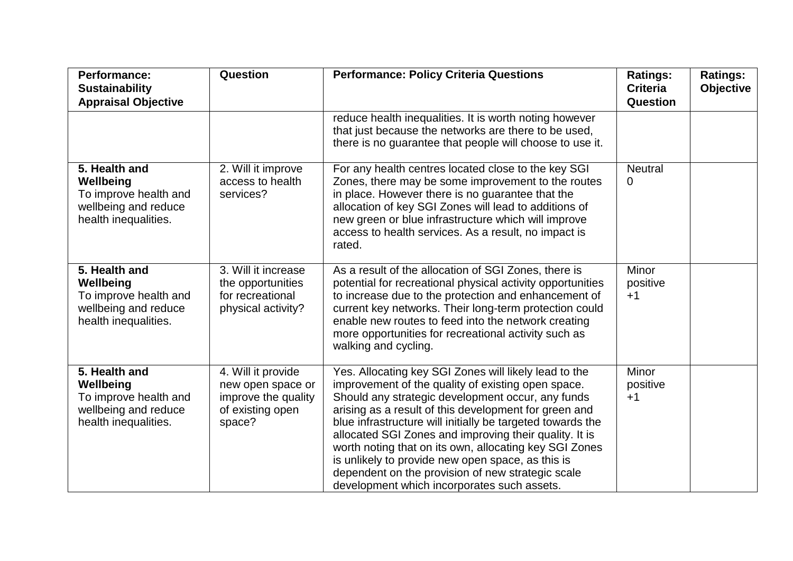| <b>Performance:</b><br><b>Sustainability</b><br><b>Appraisal Objective</b>                          | Question                                                                                     | <b>Performance: Policy Criteria Questions</b>                                                                                                                                                                                                                                                                                                                                                                                                                                                                                                                        | <b>Ratings:</b><br><b>Criteria</b><br>Question | <b>Ratings:</b><br><b>Objective</b> |
|-----------------------------------------------------------------------------------------------------|----------------------------------------------------------------------------------------------|----------------------------------------------------------------------------------------------------------------------------------------------------------------------------------------------------------------------------------------------------------------------------------------------------------------------------------------------------------------------------------------------------------------------------------------------------------------------------------------------------------------------------------------------------------------------|------------------------------------------------|-------------------------------------|
|                                                                                                     |                                                                                              | reduce health inequalities. It is worth noting however<br>that just because the networks are there to be used,<br>there is no guarantee that people will choose to use it.                                                                                                                                                                                                                                                                                                                                                                                           |                                                |                                     |
| 5. Health and<br>Wellbeing<br>To improve health and<br>wellbeing and reduce<br>health inequalities. | 2. Will it improve<br>access to health<br>services?                                          | For any health centres located close to the key SGI<br>Zones, there may be some improvement to the routes<br>in place. However there is no guarantee that the<br>allocation of key SGI Zones will lead to additions of<br>new green or blue infrastructure which will improve<br>access to health services. As a result, no impact is<br>rated.                                                                                                                                                                                                                      | <b>Neutral</b><br>0                            |                                     |
| 5. Health and<br>Wellbeing<br>To improve health and<br>wellbeing and reduce<br>health inequalities. | 3. Will it increase<br>the opportunities<br>for recreational<br>physical activity?           | As a result of the allocation of SGI Zones, there is<br>potential for recreational physical activity opportunities<br>to increase due to the protection and enhancement of<br>current key networks. Their long-term protection could<br>enable new routes to feed into the network creating<br>more opportunities for recreational activity such as<br>walking and cycling.                                                                                                                                                                                          | Minor<br>positive<br>$+1$                      |                                     |
| 5. Health and<br>Wellbeing<br>To improve health and<br>wellbeing and reduce<br>health inequalities. | 4. Will it provide<br>new open space or<br>improve the quality<br>of existing open<br>space? | Yes. Allocating key SGI Zones will likely lead to the<br>improvement of the quality of existing open space.<br>Should any strategic development occur, any funds<br>arising as a result of this development for green and<br>blue infrastructure will initially be targeted towards the<br>allocated SGI Zones and improving their quality. It is<br>worth noting that on its own, allocating key SGI Zones<br>is unlikely to provide new open space, as this is<br>dependent on the provision of new strategic scale<br>development which incorporates such assets. | Minor<br>positive<br>$+1$                      |                                     |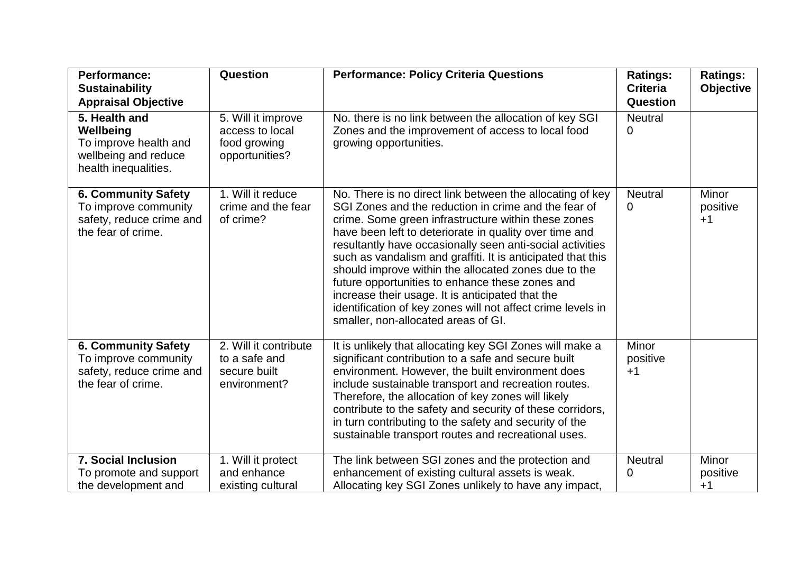| <b>Performance:</b><br><b>Sustainability</b>                                                                                 | Question                                                                | <b>Performance: Policy Criteria Questions</b>                                                                                                                                                                                                                                                                                                                                                                                                                                                                                                                                                                                       | <b>Ratings:</b><br><b>Criteria</b> | <b>Ratings:</b><br><b>Objective</b> |
|------------------------------------------------------------------------------------------------------------------------------|-------------------------------------------------------------------------|-------------------------------------------------------------------------------------------------------------------------------------------------------------------------------------------------------------------------------------------------------------------------------------------------------------------------------------------------------------------------------------------------------------------------------------------------------------------------------------------------------------------------------------------------------------------------------------------------------------------------------------|------------------------------------|-------------------------------------|
| <b>Appraisal Objective</b><br>5. Health and<br>Wellbeing<br>To improve health and<br>wellbeing and reduce                    | 5. Will it improve<br>access to local<br>food growing<br>opportunities? | No. there is no link between the allocation of key SGI<br>Zones and the improvement of access to local food<br>growing opportunities.                                                                                                                                                                                                                                                                                                                                                                                                                                                                                               | Question<br><b>Neutral</b><br>0    |                                     |
| health inequalities.<br><b>6. Community Safety</b><br>To improve community<br>safety, reduce crime and<br>the fear of crime. | 1. Will it reduce<br>crime and the fear<br>of crime?                    | No. There is no direct link between the allocating of key<br>SGI Zones and the reduction in crime and the fear of<br>crime. Some green infrastructure within these zones<br>have been left to deteriorate in quality over time and<br>resultantly have occasionally seen anti-social activities<br>such as vandalism and graffiti. It is anticipated that this<br>should improve within the allocated zones due to the<br>future opportunities to enhance these zones and<br>increase their usage. It is anticipated that the<br>identification of key zones will not affect crime levels in<br>smaller, non-allocated areas of GI. | <b>Neutral</b><br>0                | Minor<br>positive<br>$+1$           |
| <b>6. Community Safety</b><br>To improve community<br>safety, reduce crime and<br>the fear of crime.                         | 2. Will it contribute<br>to a safe and<br>secure built<br>environment?  | It is unlikely that allocating key SGI Zones will make a<br>significant contribution to a safe and secure built<br>environment. However, the built environment does<br>include sustainable transport and recreation routes.<br>Therefore, the allocation of key zones will likely<br>contribute to the safety and security of these corridors,<br>in turn contributing to the safety and security of the<br>sustainable transport routes and recreational uses.                                                                                                                                                                     | Minor<br>positive<br>$+1$          |                                     |
| <b>7. Social Inclusion</b><br>To promote and support<br>the development and                                                  | 1. Will it protect<br>and enhance<br>existing cultural                  | The link between SGI zones and the protection and<br>enhancement of existing cultural assets is weak.<br>Allocating key SGI Zones unlikely to have any impact,                                                                                                                                                                                                                                                                                                                                                                                                                                                                      | <b>Neutral</b><br>0                | Minor<br>positive<br>$+1$           |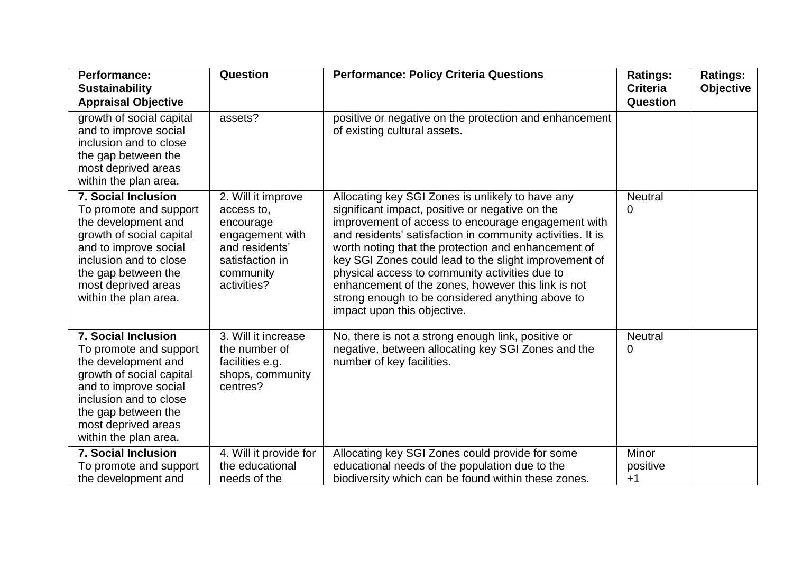| <b>Performance:</b><br><b>Sustainability</b>                                                                                                                                                                                      | Question                                                                                                                          | <b>Performance: Policy Criteria Questions</b>                                                                                                                                                                                                                                                                                                                                                                                                                                                                                      | <b>Ratings:</b><br><b>Criteria</b> | <b>Ratings:</b><br>Objective |
|-----------------------------------------------------------------------------------------------------------------------------------------------------------------------------------------------------------------------------------|-----------------------------------------------------------------------------------------------------------------------------------|------------------------------------------------------------------------------------------------------------------------------------------------------------------------------------------------------------------------------------------------------------------------------------------------------------------------------------------------------------------------------------------------------------------------------------------------------------------------------------------------------------------------------------|------------------------------------|------------------------------|
| <b>Appraisal Objective</b>                                                                                                                                                                                                        |                                                                                                                                   |                                                                                                                                                                                                                                                                                                                                                                                                                                                                                                                                    | Question                           |                              |
| growth of social capital<br>and to improve social<br>inclusion and to close<br>the gap between the<br>most deprived areas<br>within the plan area.                                                                                | assets?                                                                                                                           | positive or negative on the protection and enhancement<br>of existing cultural assets.                                                                                                                                                                                                                                                                                                                                                                                                                                             |                                    |                              |
| <b>7. Social Inclusion</b><br>To promote and support<br>the development and<br>growth of social capital<br>and to improve social<br>inclusion and to close<br>the gap between the<br>most deprived areas<br>within the plan area. | 2. Will it improve<br>access to,<br>encourage<br>engagement with<br>and residents'<br>satisfaction in<br>community<br>activities? | Allocating key SGI Zones is unlikely to have any<br>significant impact, positive or negative on the<br>improvement of access to encourage engagement with<br>and residents' satisfaction in community activities. It is<br>worth noting that the protection and enhancement of<br>key SGI Zones could lead to the slight improvement of<br>physical access to community activities due to<br>enhancement of the zones, however this link is not<br>strong enough to be considered anything above to<br>impact upon this objective. | <b>Neutral</b><br>0                |                              |
| <b>7. Social Inclusion</b><br>To promote and support<br>the development and<br>growth of social capital<br>and to improve social<br>inclusion and to close<br>the gap between the<br>most deprived areas<br>within the plan area. | 3. Will it increase<br>the number of<br>facilities e.g.<br>shops, community<br>centres?                                           | No, there is not a strong enough link, positive or<br>negative, between allocating key SGI Zones and the<br>number of key facilities.                                                                                                                                                                                                                                                                                                                                                                                              | <b>Neutral</b><br>0                |                              |
| <b>7. Social Inclusion</b><br>To promote and support<br>the development and                                                                                                                                                       | 4. Will it provide for<br>the educational<br>needs of the                                                                         | Allocating key SGI Zones could provide for some<br>educational needs of the population due to the<br>biodiversity which can be found within these zones.                                                                                                                                                                                                                                                                                                                                                                           | <b>Minor</b><br>positive<br>$+1$   |                              |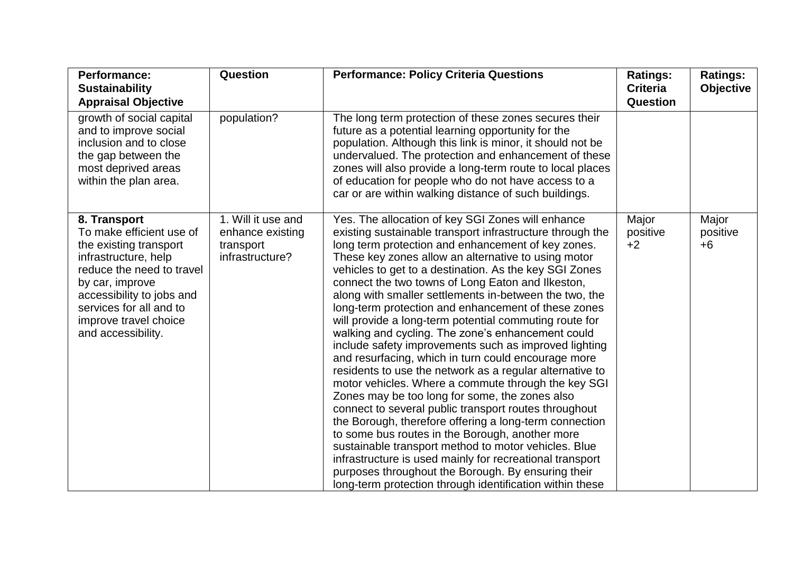| <b>Performance:</b>                                                                                                                                                                                                                               | Question                                                               | <b>Performance: Policy Criteria Questions</b>                                                                                                                                                                                                                                                                                                                                                                                                                                                                                                                                                                                                                                                                                                                                                                                                                                                                                                                                                                                                                                                                                                                                                                                                                               | <b>Ratings:</b>           | <b>Ratings:</b>           |
|---------------------------------------------------------------------------------------------------------------------------------------------------------------------------------------------------------------------------------------------------|------------------------------------------------------------------------|-----------------------------------------------------------------------------------------------------------------------------------------------------------------------------------------------------------------------------------------------------------------------------------------------------------------------------------------------------------------------------------------------------------------------------------------------------------------------------------------------------------------------------------------------------------------------------------------------------------------------------------------------------------------------------------------------------------------------------------------------------------------------------------------------------------------------------------------------------------------------------------------------------------------------------------------------------------------------------------------------------------------------------------------------------------------------------------------------------------------------------------------------------------------------------------------------------------------------------------------------------------------------------|---------------------------|---------------------------|
| <b>Sustainability</b>                                                                                                                                                                                                                             |                                                                        |                                                                                                                                                                                                                                                                                                                                                                                                                                                                                                                                                                                                                                                                                                                                                                                                                                                                                                                                                                                                                                                                                                                                                                                                                                                                             | <b>Criteria</b>           | <b>Objective</b>          |
| <b>Appraisal Objective</b><br>growth of social capital                                                                                                                                                                                            | population?                                                            | The long term protection of these zones secures their                                                                                                                                                                                                                                                                                                                                                                                                                                                                                                                                                                                                                                                                                                                                                                                                                                                                                                                                                                                                                                                                                                                                                                                                                       | <b>Question</b>           |                           |
| and to improve social<br>inclusion and to close                                                                                                                                                                                                   |                                                                        | future as a potential learning opportunity for the<br>population. Although this link is minor, it should not be                                                                                                                                                                                                                                                                                                                                                                                                                                                                                                                                                                                                                                                                                                                                                                                                                                                                                                                                                                                                                                                                                                                                                             |                           |                           |
| the gap between the<br>most deprived areas                                                                                                                                                                                                        |                                                                        | undervalued. The protection and enhancement of these<br>zones will also provide a long-term route to local places                                                                                                                                                                                                                                                                                                                                                                                                                                                                                                                                                                                                                                                                                                                                                                                                                                                                                                                                                                                                                                                                                                                                                           |                           |                           |
| within the plan area.                                                                                                                                                                                                                             |                                                                        | of education for people who do not have access to a<br>car or are within walking distance of such buildings.                                                                                                                                                                                                                                                                                                                                                                                                                                                                                                                                                                                                                                                                                                                                                                                                                                                                                                                                                                                                                                                                                                                                                                |                           |                           |
| 8. Transport<br>To make efficient use of<br>the existing transport<br>infrastructure, help<br>reduce the need to travel<br>by car, improve<br>accessibility to jobs and<br>services for all and to<br>improve travel choice<br>and accessibility. | 1. Will it use and<br>enhance existing<br>transport<br>infrastructure? | Yes. The allocation of key SGI Zones will enhance<br>existing sustainable transport infrastructure through the<br>long term protection and enhancement of key zones.<br>These key zones allow an alternative to using motor<br>vehicles to get to a destination. As the key SGI Zones<br>connect the two towns of Long Eaton and Ilkeston,<br>along with smaller settlements in-between the two, the<br>long-term protection and enhancement of these zones<br>will provide a long-term potential commuting route for<br>walking and cycling. The zone's enhancement could<br>include safety improvements such as improved lighting<br>and resurfacing, which in turn could encourage more<br>residents to use the network as a regular alternative to<br>motor vehicles. Where a commute through the key SGI<br>Zones may be too long for some, the zones also<br>connect to several public transport routes throughout<br>the Borough, therefore offering a long-term connection<br>to some bus routes in the Borough, another more<br>sustainable transport method to motor vehicles. Blue<br>infrastructure is used mainly for recreational transport<br>purposes throughout the Borough. By ensuring their<br>long-term protection through identification within these | Major<br>positive<br>$+2$ | Major<br>positive<br>$+6$ |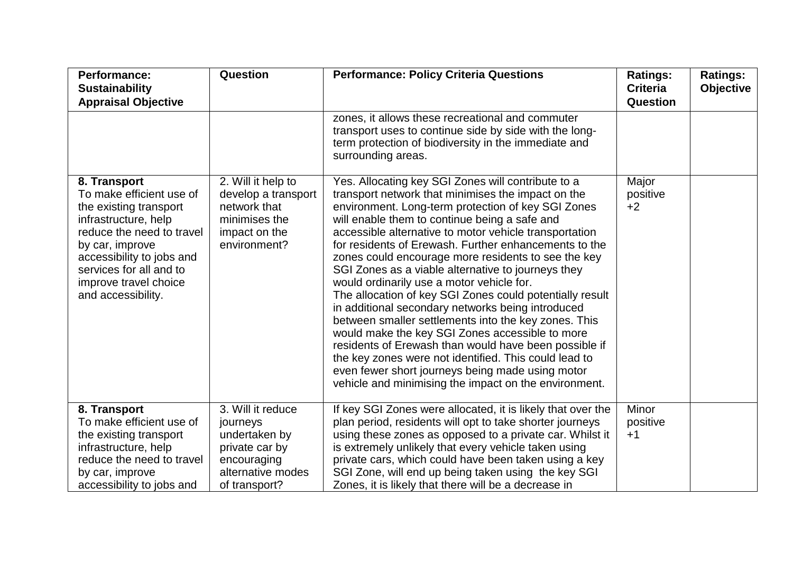| Performance:<br><b>Sustainability</b><br><b>Appraisal Objective</b>                                                                                                                                                                               | Question                                                                                                              | <b>Performance: Policy Criteria Questions</b>                                                                                                                                                                                                                                                                                                                                                                                                                                                                                                                                                                                                                                                                                                                                                                                                                                                                                                           | <b>Ratings:</b><br><b>Criteria</b><br><b>Question</b> | <b>Ratings:</b><br><b>Objective</b> |
|---------------------------------------------------------------------------------------------------------------------------------------------------------------------------------------------------------------------------------------------------|-----------------------------------------------------------------------------------------------------------------------|---------------------------------------------------------------------------------------------------------------------------------------------------------------------------------------------------------------------------------------------------------------------------------------------------------------------------------------------------------------------------------------------------------------------------------------------------------------------------------------------------------------------------------------------------------------------------------------------------------------------------------------------------------------------------------------------------------------------------------------------------------------------------------------------------------------------------------------------------------------------------------------------------------------------------------------------------------|-------------------------------------------------------|-------------------------------------|
|                                                                                                                                                                                                                                                   |                                                                                                                       | zones, it allows these recreational and commuter<br>transport uses to continue side by side with the long-<br>term protection of biodiversity in the immediate and<br>surrounding areas.                                                                                                                                                                                                                                                                                                                                                                                                                                                                                                                                                                                                                                                                                                                                                                |                                                       |                                     |
| 8. Transport<br>To make efficient use of<br>the existing transport<br>infrastructure, help<br>reduce the need to travel<br>by car, improve<br>accessibility to jobs and<br>services for all and to<br>improve travel choice<br>and accessibility. | 2. Will it help to<br>develop a transport<br>network that<br>minimises the<br>impact on the<br>environment?           | Yes. Allocating key SGI Zones will contribute to a<br>transport network that minimises the impact on the<br>environment. Long-term protection of key SGI Zones<br>will enable them to continue being a safe and<br>accessible alternative to motor vehicle transportation<br>for residents of Erewash. Further enhancements to the<br>zones could encourage more residents to see the key<br>SGI Zones as a viable alternative to journeys they<br>would ordinarily use a motor vehicle for.<br>The allocation of key SGI Zones could potentially result<br>in additional secondary networks being introduced<br>between smaller settlements into the key zones. This<br>would make the key SGI Zones accessible to more<br>residents of Erewash than would have been possible if<br>the key zones were not identified. This could lead to<br>even fewer short journeys being made using motor<br>vehicle and minimising the impact on the environment. | Major<br>positive<br>$+2$                             |                                     |
| 8. Transport<br>To make efficient use of<br>the existing transport<br>infrastructure, help<br>reduce the need to travel<br>by car, improve<br>accessibility to jobs and                                                                           | 3. Will it reduce<br>journeys<br>undertaken by<br>private car by<br>encouraging<br>alternative modes<br>of transport? | If key SGI Zones were allocated, it is likely that over the<br>plan period, residents will opt to take shorter journeys<br>using these zones as opposed to a private car. Whilst it<br>is extremely unlikely that every vehicle taken using<br>private cars, which could have been taken using a key<br>SGI Zone, will end up being taken using the key SGI<br>Zones, it is likely that there will be a decrease in                                                                                                                                                                                                                                                                                                                                                                                                                                                                                                                                     | Minor<br>positive<br>$+1$                             |                                     |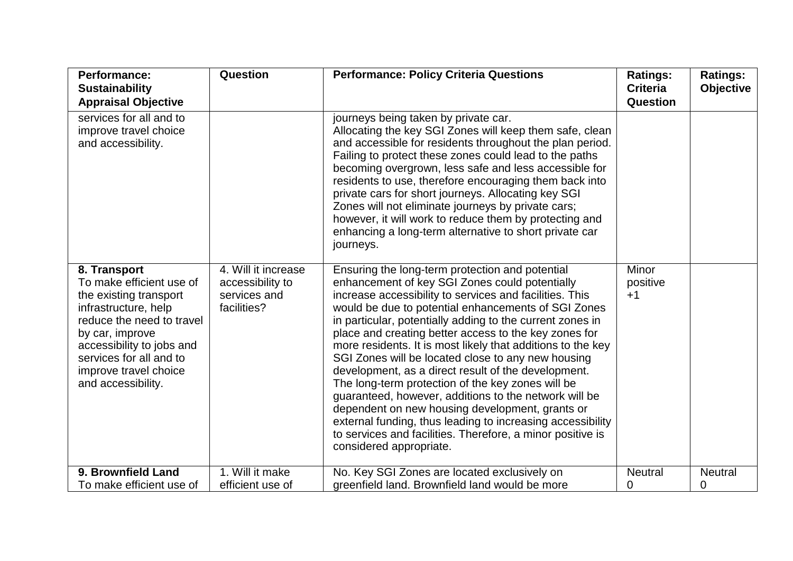| <b>Performance:</b><br><b>Sustainability</b><br><b>Appraisal Objective</b>                                                                                                                                                                        | Question                                                               | <b>Performance: Policy Criteria Questions</b>                                                                                                                                                                                                                                                                                                                                                                                                                                                                                                                                                                                                                                                                                                                                                                                                 | <b>Ratings:</b><br><b>Criteria</b><br>Question | <b>Ratings:</b><br><b>Objective</b> |
|---------------------------------------------------------------------------------------------------------------------------------------------------------------------------------------------------------------------------------------------------|------------------------------------------------------------------------|-----------------------------------------------------------------------------------------------------------------------------------------------------------------------------------------------------------------------------------------------------------------------------------------------------------------------------------------------------------------------------------------------------------------------------------------------------------------------------------------------------------------------------------------------------------------------------------------------------------------------------------------------------------------------------------------------------------------------------------------------------------------------------------------------------------------------------------------------|------------------------------------------------|-------------------------------------|
| services for all and to<br>improve travel choice<br>and accessibility.                                                                                                                                                                            |                                                                        | journeys being taken by private car.<br>Allocating the key SGI Zones will keep them safe, clean<br>and accessible for residents throughout the plan period.<br>Failing to protect these zones could lead to the paths<br>becoming overgrown, less safe and less accessible for<br>residents to use, therefore encouraging them back into<br>private cars for short journeys. Allocating key SGI<br>Zones will not eliminate journeys by private cars;<br>however, it will work to reduce them by protecting and<br>enhancing a long-term alternative to short private car<br>journeys.                                                                                                                                                                                                                                                        |                                                |                                     |
| 8. Transport<br>To make efficient use of<br>the existing transport<br>infrastructure, help<br>reduce the need to travel<br>by car, improve<br>accessibility to jobs and<br>services for all and to<br>improve travel choice<br>and accessibility. | 4. Will it increase<br>accessibility to<br>services and<br>facilities? | Ensuring the long-term protection and potential<br>enhancement of key SGI Zones could potentially<br>increase accessibility to services and facilities. This<br>would be due to potential enhancements of SGI Zones<br>in particular, potentially adding to the current zones in<br>place and creating better access to the key zones for<br>more residents. It is most likely that additions to the key<br>SGI Zones will be located close to any new housing<br>development, as a direct result of the development.<br>The long-term protection of the key zones will be<br>guaranteed, however, additions to the network will be<br>dependent on new housing development, grants or<br>external funding, thus leading to increasing accessibility<br>to services and facilities. Therefore, a minor positive is<br>considered appropriate. | <b>Minor</b><br>positive<br>$+1$               |                                     |
| 9. Brownfield Land<br>To make efficient use of                                                                                                                                                                                                    | 1. Will it make<br>efficient use of                                    | No. Key SGI Zones are located exclusively on<br>greenfield land. Brownfield land would be more                                                                                                                                                                                                                                                                                                                                                                                                                                                                                                                                                                                                                                                                                                                                                | <b>Neutral</b><br>0                            | <b>Neutral</b><br>0                 |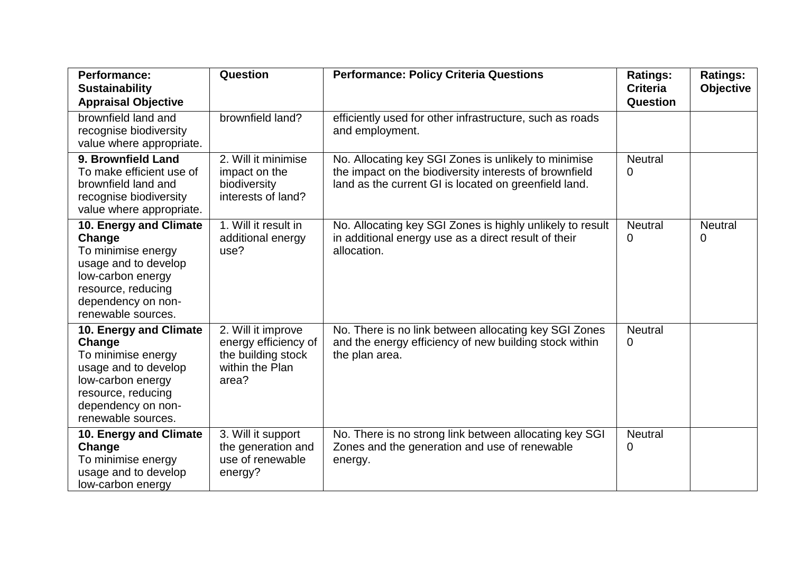| <b>Performance:</b><br><b>Sustainability</b><br><b>Appraisal Objective</b>                                                                                            | Question                                                                                     | <b>Performance: Policy Criteria Questions</b>                                                                                                                           | <b>Ratings:</b><br><b>Criteria</b><br>Question | <b>Ratings:</b><br><b>Objective</b> |
|-----------------------------------------------------------------------------------------------------------------------------------------------------------------------|----------------------------------------------------------------------------------------------|-------------------------------------------------------------------------------------------------------------------------------------------------------------------------|------------------------------------------------|-------------------------------------|
| brownfield land and<br>recognise biodiversity<br>value where appropriate.                                                                                             | brownfield land?                                                                             | efficiently used for other infrastructure, such as roads<br>and employment.                                                                                             |                                                |                                     |
| 9. Brownfield Land<br>To make efficient use of<br>brownfield land and<br>recognise biodiversity<br>value where appropriate.                                           | 2. Will it minimise<br>impact on the<br>biodiversity<br>interests of land?                   | No. Allocating key SGI Zones is unlikely to minimise<br>the impact on the biodiversity interests of brownfield<br>land as the current GI is located on greenfield land. | <b>Neutral</b><br>$\mathbf{0}$                 |                                     |
| 10. Energy and Climate<br>Change<br>To minimise energy<br>usage and to develop<br>low-carbon energy<br>resource, reducing<br>dependency on non-<br>renewable sources. | 1. Will it result in<br>additional energy<br>use?                                            | No. Allocating key SGI Zones is highly unlikely to result<br>in additional energy use as a direct result of their<br>allocation.                                        | <b>Neutral</b><br>0                            | <b>Neutral</b><br>0                 |
| 10. Energy and Climate<br>Change<br>To minimise energy<br>usage and to develop<br>low-carbon energy<br>resource, reducing<br>dependency on non-<br>renewable sources. | 2. Will it improve<br>energy efficiency of<br>the building stock<br>within the Plan<br>area? | No. There is no link between allocating key SGI Zones<br>and the energy efficiency of new building stock within<br>the plan area.                                       | <b>Neutral</b><br>0                            |                                     |
| 10. Energy and Climate<br>Change<br>To minimise energy<br>usage and to develop<br>low-carbon energy                                                                   | 3. Will it support<br>the generation and<br>use of renewable<br>energy?                      | No. There is no strong link between allocating key SGI<br>Zones and the generation and use of renewable<br>energy.                                                      | <b>Neutral</b><br>0                            |                                     |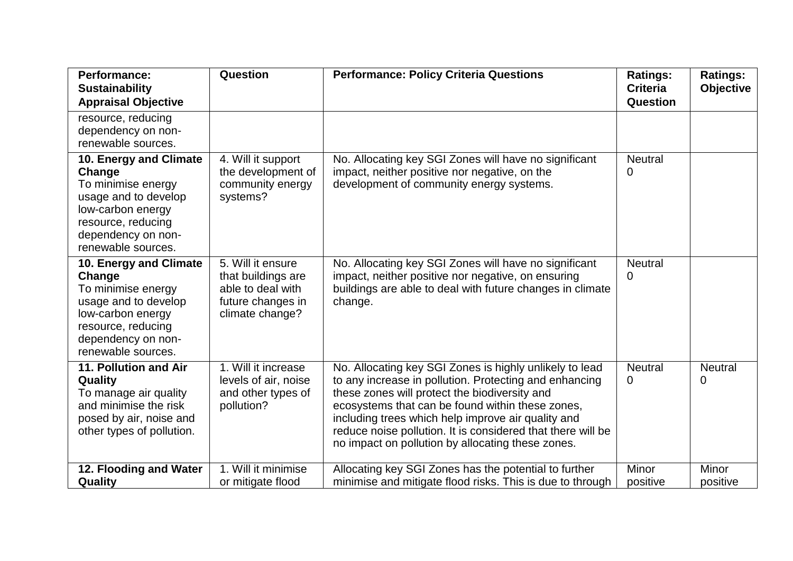| <b>Performance:</b><br><b>Sustainability</b><br><b>Appraisal Objective</b>                                                                                            | Question                                                                                             | <b>Performance: Policy Criteria Questions</b>                                                                                                                                                                                                                                                                                                                                                    | <b>Ratings:</b><br><b>Criteria</b><br><b>Question</b> | <b>Ratings:</b><br><b>Objective</b> |
|-----------------------------------------------------------------------------------------------------------------------------------------------------------------------|------------------------------------------------------------------------------------------------------|--------------------------------------------------------------------------------------------------------------------------------------------------------------------------------------------------------------------------------------------------------------------------------------------------------------------------------------------------------------------------------------------------|-------------------------------------------------------|-------------------------------------|
| resource, reducing<br>dependency on non-<br>renewable sources.                                                                                                        |                                                                                                      |                                                                                                                                                                                                                                                                                                                                                                                                  |                                                       |                                     |
| 10. Energy and Climate<br>Change<br>To minimise energy<br>usage and to develop<br>low-carbon energy<br>resource, reducing<br>dependency on non-<br>renewable sources. | 4. Will it support<br>the development of<br>community energy<br>systems?                             | No. Allocating key SGI Zones will have no significant<br>impact, neither positive nor negative, on the<br>development of community energy systems.                                                                                                                                                                                                                                               | <b>Neutral</b><br>0                                   |                                     |
| 10. Energy and Climate<br>Change<br>To minimise energy<br>usage and to develop<br>low-carbon energy<br>resource, reducing<br>dependency on non-<br>renewable sources. | 5. Will it ensure<br>that buildings are<br>able to deal with<br>future changes in<br>climate change? | No. Allocating key SGI Zones will have no significant<br>impact, neither positive nor negative, on ensuring<br>buildings are able to deal with future changes in climate<br>change.                                                                                                                                                                                                              | <b>Neutral</b><br>0                                   |                                     |
| 11. Pollution and Air<br>Quality<br>To manage air quality<br>and minimise the risk<br>posed by air, noise and<br>other types of pollution.                            | 1. Will it increase<br>levels of air, noise<br>and other types of<br>pollution?                      | No. Allocating key SGI Zones is highly unlikely to lead<br>to any increase in pollution. Protecting and enhancing<br>these zones will protect the biodiversity and<br>ecosystems that can be found within these zones,<br>including trees which help improve air quality and<br>reduce noise pollution. It is considered that there will be<br>no impact on pollution by allocating these zones. | <b>Neutral</b><br>0                                   | <b>Neutral</b><br>0                 |
| 12. Flooding and Water<br>Quality                                                                                                                                     | 1. Will it minimise<br>or mitigate flood                                                             | Allocating key SGI Zones has the potential to further<br>minimise and mitigate flood risks. This is due to through                                                                                                                                                                                                                                                                               | Minor<br>positive                                     | Minor<br>positive                   |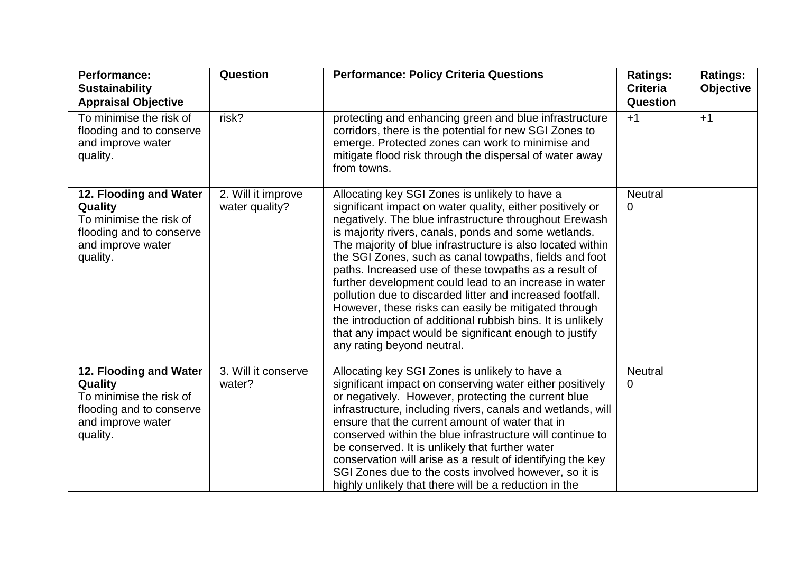| <b>Performance:</b><br><b>Sustainability</b><br><b>Appraisal Objective</b>                                                | Question                             | <b>Performance: Policy Criteria Questions</b>                                                                                                                                                                                                                                                                                                                                                                                                                                                                                                                                                                                                                                                                                                        | <b>Ratings:</b><br><b>Criteria</b><br>Question | <b>Ratings:</b><br><b>Objective</b> |
|---------------------------------------------------------------------------------------------------------------------------|--------------------------------------|------------------------------------------------------------------------------------------------------------------------------------------------------------------------------------------------------------------------------------------------------------------------------------------------------------------------------------------------------------------------------------------------------------------------------------------------------------------------------------------------------------------------------------------------------------------------------------------------------------------------------------------------------------------------------------------------------------------------------------------------------|------------------------------------------------|-------------------------------------|
| To minimise the risk of<br>flooding and to conserve<br>and improve water<br>quality.                                      | risk?                                | protecting and enhancing green and blue infrastructure<br>corridors, there is the potential for new SGI Zones to<br>emerge. Protected zones can work to minimise and<br>mitigate flood risk through the dispersal of water away<br>from towns.                                                                                                                                                                                                                                                                                                                                                                                                                                                                                                       | $+1$                                           | $+1$                                |
| 12. Flooding and Water<br>Quality<br>To minimise the risk of<br>flooding and to conserve<br>and improve water<br>quality. | 2. Will it improve<br>water quality? | Allocating key SGI Zones is unlikely to have a<br>significant impact on water quality, either positively or<br>negatively. The blue infrastructure throughout Erewash<br>is majority rivers, canals, ponds and some wetlands.<br>The majority of blue infrastructure is also located within<br>the SGI Zones, such as canal towpaths, fields and foot<br>paths. Increased use of these towpaths as a result of<br>further development could lead to an increase in water<br>pollution due to discarded litter and increased footfall.<br>However, these risks can easily be mitigated through<br>the introduction of additional rubbish bins. It is unlikely<br>that any impact would be significant enough to justify<br>any rating beyond neutral. | <b>Neutral</b><br>0                            |                                     |
| 12. Flooding and Water<br>Quality<br>To minimise the risk of<br>flooding and to conserve<br>and improve water<br>quality. | 3. Will it conserve<br>water?        | Allocating key SGI Zones is unlikely to have a<br>significant impact on conserving water either positively<br>or negatively. However, protecting the current blue<br>infrastructure, including rivers, canals and wetlands, will<br>ensure that the current amount of water that in<br>conserved within the blue infrastructure will continue to<br>be conserved. It is unlikely that further water<br>conservation will arise as a result of identifying the key<br>SGI Zones due to the costs involved however, so it is<br>highly unlikely that there will be a reduction in the                                                                                                                                                                  | <b>Neutral</b><br>0                            |                                     |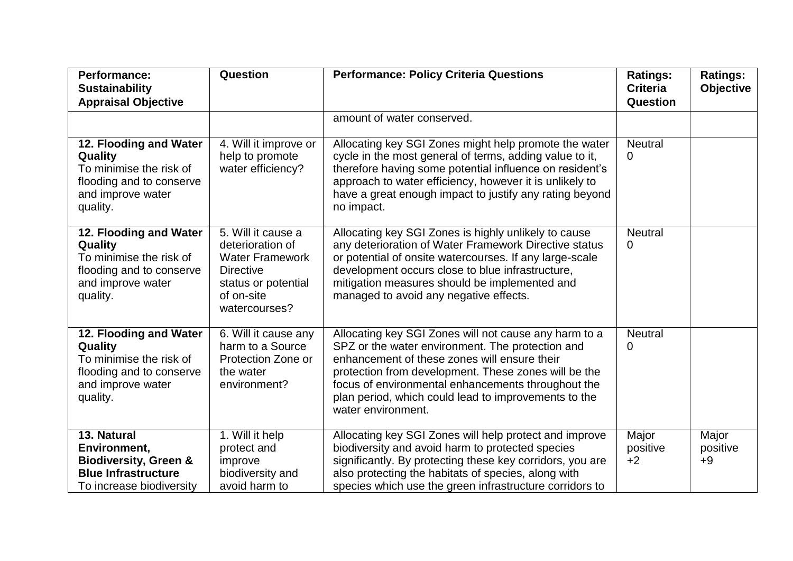| <b>Performance:</b><br><b>Sustainability</b><br><b>Appraisal Objective</b>                                                | Question                                                                                                                                   | <b>Performance: Policy Criteria Questions</b>                                                                                                                                                                                                                                                                                                         | <b>Ratings:</b><br><b>Criteria</b><br>Question | <b>Ratings:</b><br>Objective |
|---------------------------------------------------------------------------------------------------------------------------|--------------------------------------------------------------------------------------------------------------------------------------------|-------------------------------------------------------------------------------------------------------------------------------------------------------------------------------------------------------------------------------------------------------------------------------------------------------------------------------------------------------|------------------------------------------------|------------------------------|
|                                                                                                                           |                                                                                                                                            | amount of water conserved.                                                                                                                                                                                                                                                                                                                            |                                                |                              |
| 12. Flooding and Water<br>Quality<br>To minimise the risk of<br>flooding and to conserve<br>and improve water<br>quality. | 4. Will it improve or<br>help to promote<br>water efficiency?                                                                              | Allocating key SGI Zones might help promote the water<br>cycle in the most general of terms, adding value to it,<br>therefore having some potential influence on resident's<br>approach to water efficiency, however it is unlikely to<br>have a great enough impact to justify any rating beyond<br>no impact.                                       | <b>Neutral</b><br>0                            |                              |
| 12. Flooding and Water<br>Quality<br>To minimise the risk of<br>flooding and to conserve<br>and improve water<br>quality. | 5. Will it cause a<br>deterioration of<br><b>Water Framework</b><br><b>Directive</b><br>status or potential<br>of on-site<br>watercourses? | Allocating key SGI Zones is highly unlikely to cause<br>any deterioration of Water Framework Directive status<br>or potential of onsite watercourses. If any large-scale<br>development occurs close to blue infrastructure,<br>mitigation measures should be implemented and<br>managed to avoid any negative effects.                               | <b>Neutral</b><br>0                            |                              |
| 12. Flooding and Water<br>Quality<br>To minimise the risk of<br>flooding and to conserve<br>and improve water<br>quality. | 6. Will it cause any<br>harm to a Source<br>Protection Zone or<br>the water<br>environment?                                                | Allocating key SGI Zones will not cause any harm to a<br>SPZ or the water environment. The protection and<br>enhancement of these zones will ensure their<br>protection from development. These zones will be the<br>focus of environmental enhancements throughout the<br>plan period, which could lead to improvements to the<br>water environment. | <b>Neutral</b><br>0                            |                              |
| 13. Natural<br>Environment,<br><b>Biodiversity, Green &amp;</b><br><b>Blue Infrastructure</b><br>To increase biodiversity | 1. Will it help<br>protect and<br>improve<br>biodiversity and<br>avoid harm to                                                             | Allocating key SGI Zones will help protect and improve<br>biodiversity and avoid harm to protected species<br>significantly. By protecting these key corridors, you are<br>also protecting the habitats of species, along with<br>species which use the green infrastructure corridors to                                                             | Major<br>positive<br>$+2$                      | Major<br>positive<br>$+9$    |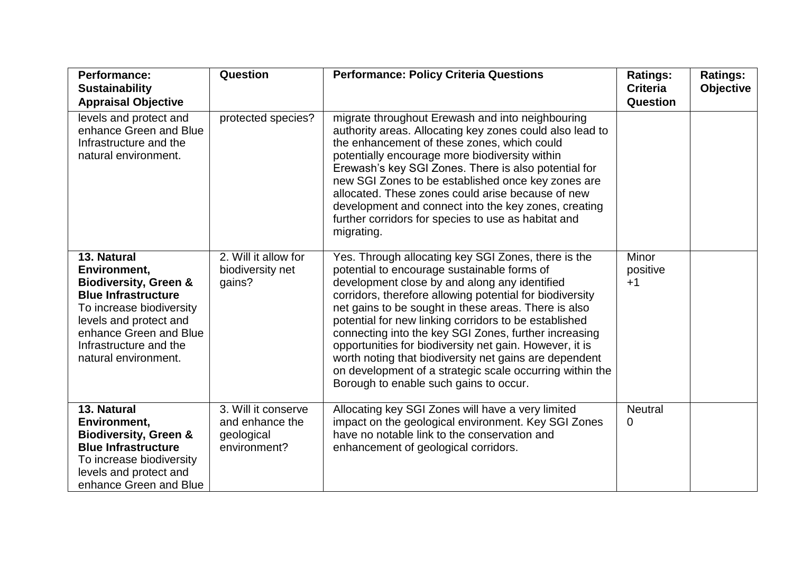| <b>Performance:</b><br><b>Sustainability</b><br><b>Appraisal Objective</b>                                                                                                                                                      | Question                                                             | <b>Performance: Policy Criteria Questions</b>                                                                                                                                                                                                                                                                                                                                                                                                                                                                                                                                                                        | <b>Ratings:</b><br><b>Criteria</b><br><b>Question</b> | <b>Ratings:</b><br><b>Objective</b> |
|---------------------------------------------------------------------------------------------------------------------------------------------------------------------------------------------------------------------------------|----------------------------------------------------------------------|----------------------------------------------------------------------------------------------------------------------------------------------------------------------------------------------------------------------------------------------------------------------------------------------------------------------------------------------------------------------------------------------------------------------------------------------------------------------------------------------------------------------------------------------------------------------------------------------------------------------|-------------------------------------------------------|-------------------------------------|
| levels and protect and<br>enhance Green and Blue<br>Infrastructure and the<br>natural environment.                                                                                                                              | protected species?                                                   | migrate throughout Erewash and into neighbouring<br>authority areas. Allocating key zones could also lead to<br>the enhancement of these zones, which could<br>potentially encourage more biodiversity within<br>Erewash's key SGI Zones. There is also potential for<br>new SGI Zones to be established once key zones are<br>allocated. These zones could arise because of new<br>development and connect into the key zones, creating<br>further corridors for species to use as habitat and<br>migrating.                                                                                                        |                                                       |                                     |
| 13. Natural<br>Environment,<br><b>Biodiversity, Green &amp;</b><br><b>Blue Infrastructure</b><br>To increase biodiversity<br>levels and protect and<br>enhance Green and Blue<br>Infrastructure and the<br>natural environment. | 2. Will it allow for<br>biodiversity net<br>gains?                   | Yes. Through allocating key SGI Zones, there is the<br>potential to encourage sustainable forms of<br>development close by and along any identified<br>corridors, therefore allowing potential for biodiversity<br>net gains to be sought in these areas. There is also<br>potential for new linking corridors to be established<br>connecting into the key SGI Zones, further increasing<br>opportunities for biodiversity net gain. However, it is<br>worth noting that biodiversity net gains are dependent<br>on development of a strategic scale occurring within the<br>Borough to enable such gains to occur. | <b>Minor</b><br>positive<br>$+1$                      |                                     |
| 13. Natural<br>Environment,<br><b>Biodiversity, Green &amp;</b><br><b>Blue Infrastructure</b><br>To increase biodiversity<br>levels and protect and<br>enhance Green and Blue                                                   | 3. Will it conserve<br>and enhance the<br>geological<br>environment? | Allocating key SGI Zones will have a very limited<br>impact on the geological environment. Key SGI Zones<br>have no notable link to the conservation and<br>enhancement of geological corridors.                                                                                                                                                                                                                                                                                                                                                                                                                     | <b>Neutral</b><br>0                                   |                                     |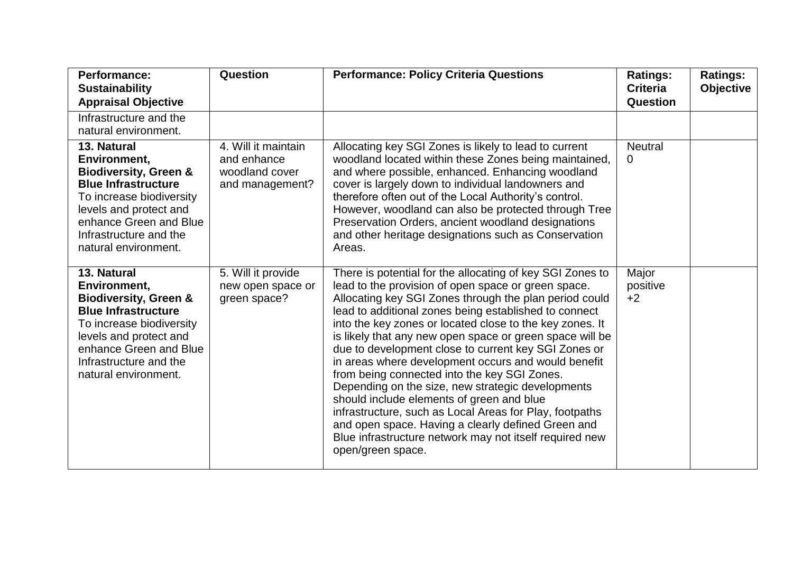| <b>Performance:</b><br><b>Sustainability</b><br><b>Appraisal Objective</b>                                                                                                                                                      | Question                                                                | <b>Performance: Policy Criteria Questions</b>                                                                                                                                                                                                                                                                                                                                                                                                                                                                                                                                                                                                                                                                                                                                                                                 | <b>Ratings:</b><br><b>Criteria</b><br><b>Question</b> | <b>Ratings:</b><br><b>Objective</b> |
|---------------------------------------------------------------------------------------------------------------------------------------------------------------------------------------------------------------------------------|-------------------------------------------------------------------------|-------------------------------------------------------------------------------------------------------------------------------------------------------------------------------------------------------------------------------------------------------------------------------------------------------------------------------------------------------------------------------------------------------------------------------------------------------------------------------------------------------------------------------------------------------------------------------------------------------------------------------------------------------------------------------------------------------------------------------------------------------------------------------------------------------------------------------|-------------------------------------------------------|-------------------------------------|
| Infrastructure and the<br>natural environment.                                                                                                                                                                                  |                                                                         |                                                                                                                                                                                                                                                                                                                                                                                                                                                                                                                                                                                                                                                                                                                                                                                                                               |                                                       |                                     |
| 13. Natural<br>Environment,<br><b>Biodiversity, Green &amp;</b><br><b>Blue Infrastructure</b><br>To increase biodiversity<br>levels and protect and<br>enhance Green and Blue<br>Infrastructure and the<br>natural environment. | 4. Will it maintain<br>and enhance<br>woodland cover<br>and management? | Allocating key SGI Zones is likely to lead to current<br>woodland located within these Zones being maintained,<br>and where possible, enhanced. Enhancing woodland<br>cover is largely down to individual landowners and<br>therefore often out of the Local Authority's control.<br>However, woodland can also be protected through Tree<br>Preservation Orders, ancient woodland designations<br>and other heritage designations such as Conservation<br>Areas.                                                                                                                                                                                                                                                                                                                                                             | <b>Neutral</b><br>0                                   |                                     |
| 13. Natural<br>Environment,<br><b>Biodiversity, Green &amp;</b><br><b>Blue Infrastructure</b><br>To increase biodiversity<br>levels and protect and<br>enhance Green and Blue<br>Infrastructure and the<br>natural environment. | 5. Will it provide<br>new open space or<br>green space?                 | There is potential for the allocating of key SGI Zones to<br>lead to the provision of open space or green space.<br>Allocating key SGI Zones through the plan period could<br>lead to additional zones being established to connect<br>into the key zones or located close to the key zones. It<br>is likely that any new open space or green space will be<br>due to development close to current key SGI Zones or<br>in areas where development occurs and would benefit<br>from being connected into the key SGI Zones.<br>Depending on the size, new strategic developments<br>should include elements of green and blue<br>infrastructure, such as Local Areas for Play, footpaths<br>and open space. Having a clearly defined Green and<br>Blue infrastructure network may not itself required new<br>open/green space. | Major<br>positive<br>$+2$                             |                                     |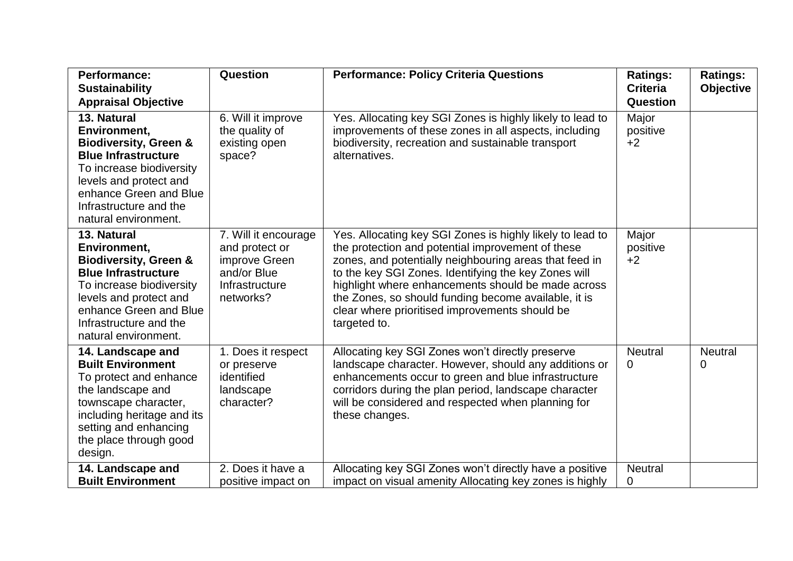| <b>Performance:</b><br><b>Sustainability</b>                                                                                                                                                                                    | Question                                                                                              | <b>Performance: Policy Criteria Questions</b>                                                                                                                                                                                                                                                                                                                                                                    | <b>Ratings:</b><br><b>Criteria</b> | <b>Ratings:</b><br><b>Objective</b> |
|---------------------------------------------------------------------------------------------------------------------------------------------------------------------------------------------------------------------------------|-------------------------------------------------------------------------------------------------------|------------------------------------------------------------------------------------------------------------------------------------------------------------------------------------------------------------------------------------------------------------------------------------------------------------------------------------------------------------------------------------------------------------------|------------------------------------|-------------------------------------|
| <b>Appraisal Objective</b>                                                                                                                                                                                                      |                                                                                                       |                                                                                                                                                                                                                                                                                                                                                                                                                  | Question                           |                                     |
| 13. Natural<br>Environment,<br><b>Biodiversity, Green &amp;</b><br><b>Blue Infrastructure</b><br>To increase biodiversity<br>levels and protect and<br>enhance Green and Blue<br>Infrastructure and the<br>natural environment. | 6. Will it improve<br>the quality of<br>existing open<br>space?                                       | Yes. Allocating key SGI Zones is highly likely to lead to<br>improvements of these zones in all aspects, including<br>biodiversity, recreation and sustainable transport<br>alternatives.                                                                                                                                                                                                                        | Major<br>positive<br>$+2$          |                                     |
| 13. Natural<br>Environment,<br><b>Biodiversity, Green &amp;</b><br><b>Blue Infrastructure</b><br>To increase biodiversity<br>levels and protect and<br>enhance Green and Blue<br>Infrastructure and the<br>natural environment. | 7. Will it encourage<br>and protect or<br>improve Green<br>and/or Blue<br>Infrastructure<br>networks? | Yes. Allocating key SGI Zones is highly likely to lead to<br>the protection and potential improvement of these<br>zones, and potentially neighbouring areas that feed in<br>to the key SGI Zones. Identifying the key Zones will<br>highlight where enhancements should be made across<br>the Zones, so should funding become available, it is<br>clear where prioritised improvements should be<br>targeted to. | Major<br>positive<br>$+2$          |                                     |
| 14. Landscape and<br><b>Built Environment</b><br>To protect and enhance<br>the landscape and<br>townscape character,<br>including heritage and its<br>setting and enhancing<br>the place through good<br>design.                | 1. Does it respect<br>or preserve<br>identified<br>landscape<br>character?                            | Allocating key SGI Zones won't directly preserve<br>landscape character. However, should any additions or<br>enhancements occur to green and blue infrastructure<br>corridors during the plan period, landscape character<br>will be considered and respected when planning for<br>these changes.                                                                                                                | <b>Neutral</b><br>0                | <b>Neutral</b><br>0                 |
| 14. Landscape and<br><b>Built Environment</b>                                                                                                                                                                                   | 2. Does it have a<br>positive impact on                                                               | Allocating key SGI Zones won't directly have a positive<br>impact on visual amenity Allocating key zones is highly                                                                                                                                                                                                                                                                                               | <b>Neutral</b><br>0                |                                     |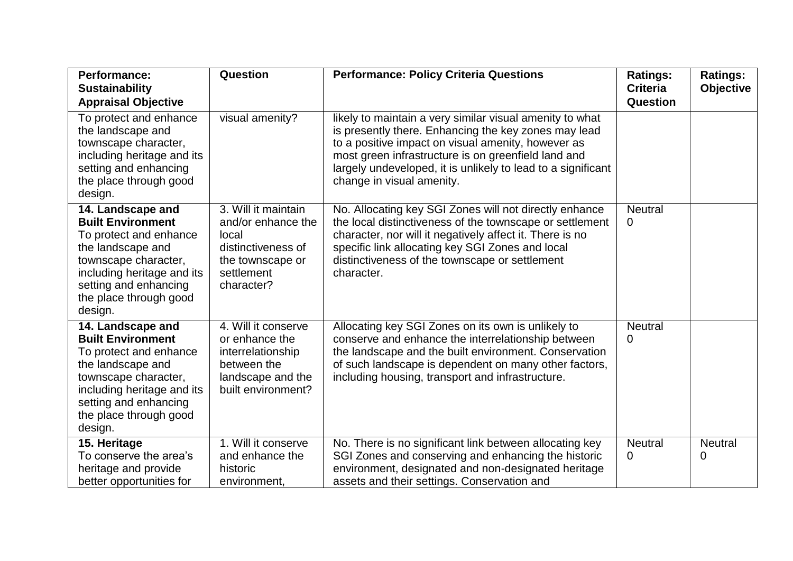| <b>Performance:</b><br><b>Sustainability</b><br><b>Appraisal Objective</b>                                                                                                                                       | Question                                                                                                                 | <b>Performance: Policy Criteria Questions</b>                                                                                                                                                                                                                                                                              | <b>Ratings:</b><br><b>Criteria</b><br>Question | <b>Ratings:</b><br><b>Objective</b> |
|------------------------------------------------------------------------------------------------------------------------------------------------------------------------------------------------------------------|--------------------------------------------------------------------------------------------------------------------------|----------------------------------------------------------------------------------------------------------------------------------------------------------------------------------------------------------------------------------------------------------------------------------------------------------------------------|------------------------------------------------|-------------------------------------|
| To protect and enhance<br>the landscape and<br>townscape character,<br>including heritage and its<br>setting and enhancing<br>the place through good<br>design.                                                  | visual amenity?                                                                                                          | likely to maintain a very similar visual amenity to what<br>is presently there. Enhancing the key zones may lead<br>to a positive impact on visual amenity, however as<br>most green infrastructure is on greenfield land and<br>largely undeveloped, it is unlikely to lead to a significant<br>change in visual amenity. |                                                |                                     |
| 14. Landscape and<br><b>Built Environment</b><br>To protect and enhance<br>the landscape and<br>townscape character,<br>including heritage and its<br>setting and enhancing<br>the place through good<br>design. | 3. Will it maintain<br>and/or enhance the<br>local<br>distinctiveness of<br>the townscape or<br>settlement<br>character? | No. Allocating key SGI Zones will not directly enhance<br>the local distinctiveness of the townscape or settlement<br>character, nor will it negatively affect it. There is no<br>specific link allocating key SGI Zones and local<br>distinctiveness of the townscape or settlement<br>character.                         | <b>Neutral</b><br>$\overline{0}$               |                                     |
| 14. Landscape and<br><b>Built Environment</b><br>To protect and enhance<br>the landscape and<br>townscape character,<br>including heritage and its<br>setting and enhancing<br>the place through good<br>design. | 4. Will it conserve<br>or enhance the<br>interrelationship<br>between the<br>landscape and the<br>built environment?     | Allocating key SGI Zones on its own is unlikely to<br>conserve and enhance the interrelationship between<br>the landscape and the built environment. Conservation<br>of such landscape is dependent on many other factors,<br>including housing, transport and infrastructure.                                             | <b>Neutral</b><br>0                            |                                     |
| 15. Heritage<br>To conserve the area's<br>heritage and provide<br>better opportunities for                                                                                                                       | 1. Will it conserve<br>and enhance the<br>historic<br>environment,                                                       | No. There is no significant link between allocating key<br>SGI Zones and conserving and enhancing the historic<br>environment, designated and non-designated heritage<br>assets and their settings. Conservation and                                                                                                       | <b>Neutral</b><br>0                            | <b>Neutral</b><br>0                 |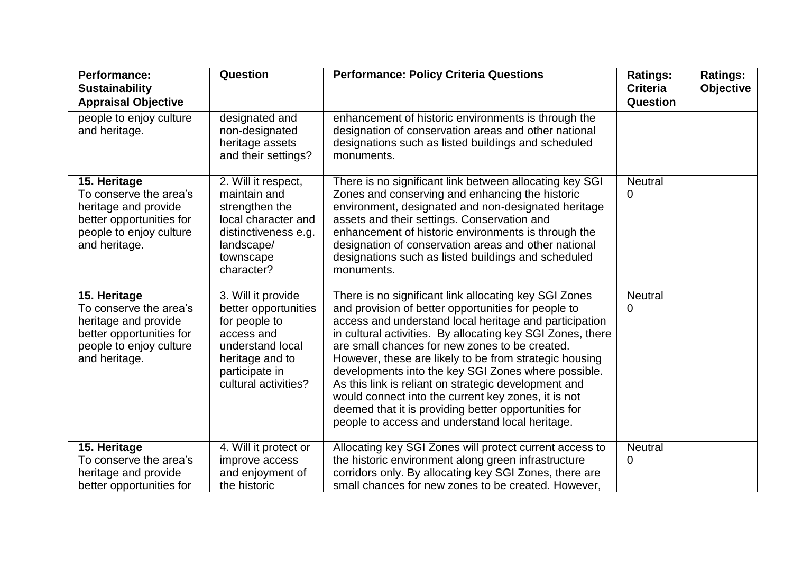| <b>Performance:</b><br><b>Sustainability</b><br><b>Appraisal Objective</b>                                                             | Question                                                                                                                                                   | <b>Performance: Policy Criteria Questions</b>                                                                                                                                                                                                                                                                                                                                                                                                                                                                                                                                                                                     | <b>Ratings:</b><br><b>Criteria</b><br>Question | <b>Ratings:</b><br><b>Objective</b> |
|----------------------------------------------------------------------------------------------------------------------------------------|------------------------------------------------------------------------------------------------------------------------------------------------------------|-----------------------------------------------------------------------------------------------------------------------------------------------------------------------------------------------------------------------------------------------------------------------------------------------------------------------------------------------------------------------------------------------------------------------------------------------------------------------------------------------------------------------------------------------------------------------------------------------------------------------------------|------------------------------------------------|-------------------------------------|
| people to enjoy culture<br>and heritage.                                                                                               | designated and<br>non-designated<br>heritage assets<br>and their settings?                                                                                 | enhancement of historic environments is through the<br>designation of conservation areas and other national<br>designations such as listed buildings and scheduled<br>monuments.                                                                                                                                                                                                                                                                                                                                                                                                                                                  |                                                |                                     |
| 15. Heritage<br>To conserve the area's<br>heritage and provide<br>better opportunities for<br>people to enjoy culture<br>and heritage. | 2. Will it respect,<br>maintain and<br>strengthen the<br>local character and<br>distinctiveness e.g.<br>landscape/<br>townscape<br>character?              | There is no significant link between allocating key SGI<br>Zones and conserving and enhancing the historic<br>environment, designated and non-designated heritage<br>assets and their settings. Conservation and<br>enhancement of historic environments is through the<br>designation of conservation areas and other national<br>designations such as listed buildings and scheduled<br>monuments.                                                                                                                                                                                                                              | <b>Neutral</b><br>0                            |                                     |
| 15. Heritage<br>To conserve the area's<br>heritage and provide<br>better opportunities for<br>people to enjoy culture<br>and heritage. | 3. Will it provide<br>better opportunities<br>for people to<br>access and<br>understand local<br>heritage and to<br>participate in<br>cultural activities? | There is no significant link allocating key SGI Zones<br>and provision of better opportunities for people to<br>access and understand local heritage and participation<br>in cultural activities. By allocating key SGI Zones, there<br>are small chances for new zones to be created.<br>However, these are likely to be from strategic housing<br>developments into the key SGI Zones where possible.<br>As this link is reliant on strategic development and<br>would connect into the current key zones, it is not<br>deemed that it is providing better opportunities for<br>people to access and understand local heritage. | <b>Neutral</b><br>0                            |                                     |
| 15. Heritage<br>To conserve the area's<br>heritage and provide<br>better opportunities for                                             | 4. Will it protect or<br>improve access<br>and enjoyment of<br>the historic                                                                                | Allocating key SGI Zones will protect current access to<br>the historic environment along green infrastructure<br>corridors only. By allocating key SGI Zones, there are<br>small chances for new zones to be created. However,                                                                                                                                                                                                                                                                                                                                                                                                   | <b>Neutral</b><br>0                            |                                     |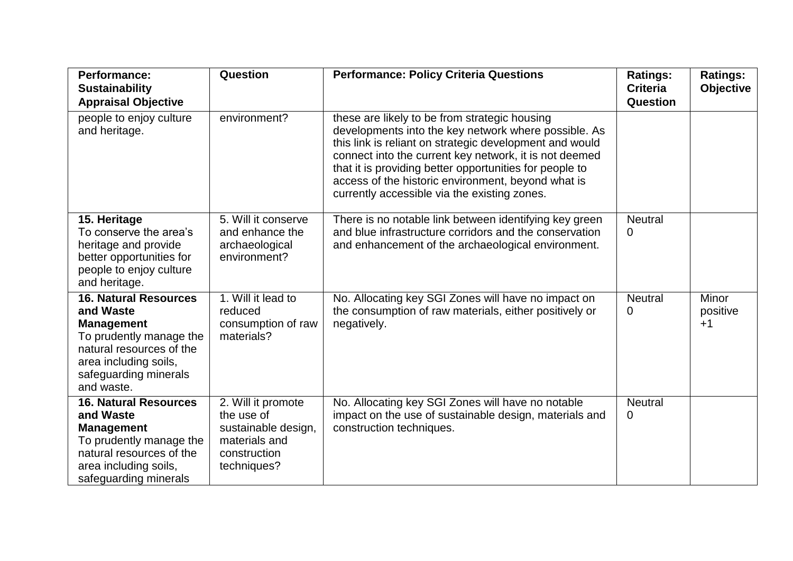| <b>Performance:</b><br><b>Sustainability</b><br><b>Appraisal Objective</b>                                                                                                            | Question                                                                                                | <b>Performance: Policy Criteria Questions</b>                                                                                                                                                                                                                                                                                                                                               | <b>Ratings:</b><br><b>Criteria</b><br><b>Question</b> | <b>Ratings:</b><br><b>Objective</b> |
|---------------------------------------------------------------------------------------------------------------------------------------------------------------------------------------|---------------------------------------------------------------------------------------------------------|---------------------------------------------------------------------------------------------------------------------------------------------------------------------------------------------------------------------------------------------------------------------------------------------------------------------------------------------------------------------------------------------|-------------------------------------------------------|-------------------------------------|
| people to enjoy culture<br>and heritage.                                                                                                                                              | environment?                                                                                            | these are likely to be from strategic housing<br>developments into the key network where possible. As<br>this link is reliant on strategic development and would<br>connect into the current key network, it is not deemed<br>that it is providing better opportunities for people to<br>access of the historic environment, beyond what is<br>currently accessible via the existing zones. |                                                       |                                     |
| 15. Heritage<br>To conserve the area's<br>heritage and provide<br>better opportunities for<br>people to enjoy culture<br>and heritage.                                                | 5. Will it conserve<br>and enhance the<br>archaeological<br>environment?                                | There is no notable link between identifying key green<br>and blue infrastructure corridors and the conservation<br>and enhancement of the archaeological environment.                                                                                                                                                                                                                      | <b>Neutral</b><br>0                                   |                                     |
| <b>16. Natural Resources</b><br>and Waste<br><b>Management</b><br>To prudently manage the<br>natural resources of the<br>area including soils,<br>safeguarding minerals<br>and waste. | 1. Will it lead to<br>reduced<br>consumption of raw<br>materials?                                       | No. Allocating key SGI Zones will have no impact on<br>the consumption of raw materials, either positively or<br>negatively.                                                                                                                                                                                                                                                                | <b>Neutral</b><br>0                                   | <b>Minor</b><br>positive<br>$+1$    |
| <b>16. Natural Resources</b><br>and Waste<br><b>Management</b><br>To prudently manage the<br>natural resources of the<br>area including soils,<br>safeguarding minerals               | 2. Will it promote<br>the use of<br>sustainable design,<br>materials and<br>construction<br>techniques? | No. Allocating key SGI Zones will have no notable<br>impact on the use of sustainable design, materials and<br>construction techniques.                                                                                                                                                                                                                                                     | <b>Neutral</b><br>0                                   |                                     |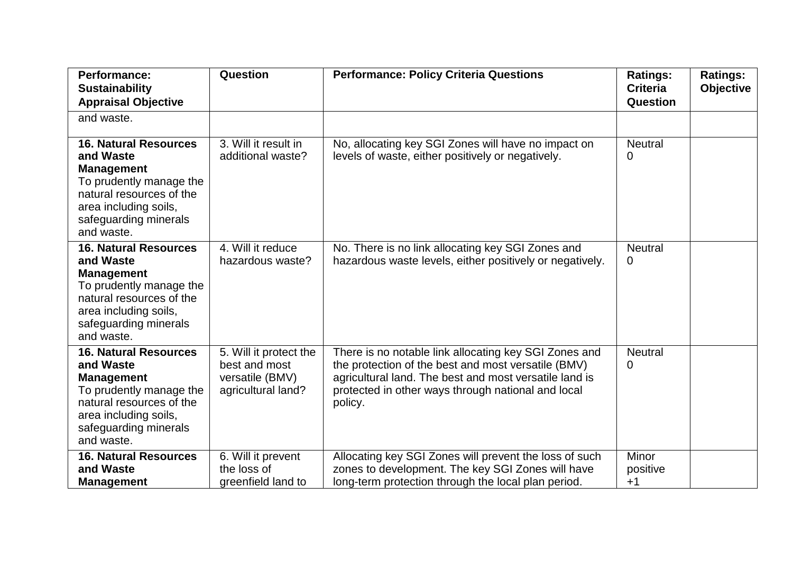| <b>Performance:</b><br><b>Sustainability</b><br><b>Appraisal Objective</b>                                                                                                            | Question                                                                         | <b>Performance: Policy Criteria Questions</b>                                                                                                                                                                                           | <b>Ratings:</b><br><b>Criteria</b><br><b>Question</b> | <b>Ratings:</b><br>Objective |
|---------------------------------------------------------------------------------------------------------------------------------------------------------------------------------------|----------------------------------------------------------------------------------|-----------------------------------------------------------------------------------------------------------------------------------------------------------------------------------------------------------------------------------------|-------------------------------------------------------|------------------------------|
| and waste.                                                                                                                                                                            |                                                                                  |                                                                                                                                                                                                                                         |                                                       |                              |
| <b>16. Natural Resources</b><br>and Waste<br><b>Management</b><br>To prudently manage the<br>natural resources of the<br>area including soils,<br>safeguarding minerals<br>and waste. | 3. Will it result in<br>additional waste?                                        | No, allocating key SGI Zones will have no impact on<br>levels of waste, either positively or negatively.                                                                                                                                | <b>Neutral</b><br>0                                   |                              |
| <b>16. Natural Resources</b><br>and Waste<br><b>Management</b><br>To prudently manage the<br>natural resources of the<br>area including soils,<br>safeguarding minerals<br>and waste. | 4. Will it reduce<br>hazardous waste?                                            | No. There is no link allocating key SGI Zones and<br>hazardous waste levels, either positively or negatively.                                                                                                                           | <b>Neutral</b><br>0                                   |                              |
| <b>16. Natural Resources</b><br>and Waste<br><b>Management</b><br>To prudently manage the<br>natural resources of the<br>area including soils,<br>safeguarding minerals<br>and waste. | 5. Will it protect the<br>best and most<br>versatile (BMV)<br>agricultural land? | There is no notable link allocating key SGI Zones and<br>the protection of the best and most versatile (BMV)<br>agricultural land. The best and most versatile land is<br>protected in other ways through national and local<br>policy. | <b>Neutral</b><br>0                                   |                              |
| <b>16. Natural Resources</b><br>and Waste<br><b>Management</b>                                                                                                                        | 6. Will it prevent<br>the loss of<br>greenfield land to                          | Allocating key SGI Zones will prevent the loss of such<br>zones to development. The key SGI Zones will have<br>long-term protection through the local plan period.                                                                      | Minor<br>positive<br>$+1$                             |                              |